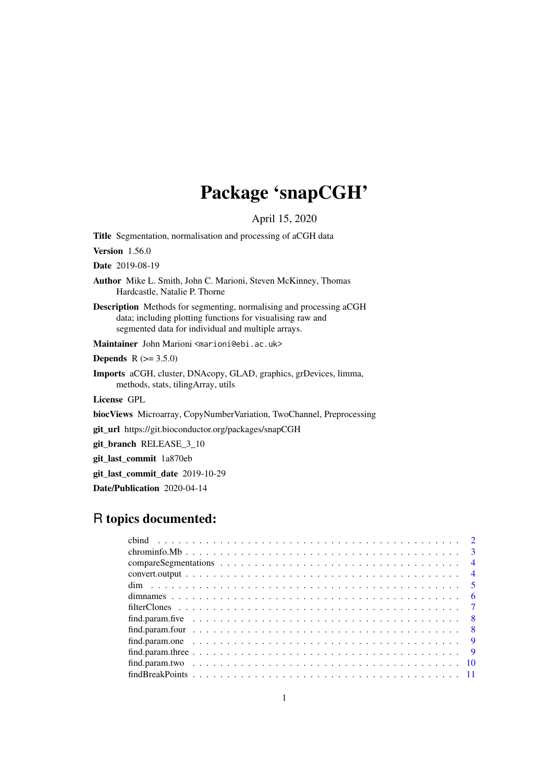# Package 'snapCGH'

April 15, 2020

<span id="page-0-0"></span>Title Segmentation, normalisation and processing of aCGH data

Version 1.56.0

Date 2019-08-19

Author Mike L. Smith, John C. Marioni, Steven McKinney, Thomas Hardcastle, Natalie P. Thorne

Description Methods for segmenting, normalising and processing aCGH data; including plotting functions for visualising raw and segmented data for individual and multiple arrays.

Maintainer John Marioni <marioni@ebi.ac.uk>

**Depends** R  $(>= 3.5.0)$ 

Imports aCGH, cluster, DNAcopy, GLAD, graphics, grDevices, limma, methods, stats, tilingArray, utils

License GPL

biocViews Microarray, CopyNumberVariation, TwoChannel, Preprocessing

git\_url https://git.bioconductor.org/packages/snapCGH

git\_branch RELEASE\_3\_10

git\_last\_commit 1a870eb

git last commit date 2019-10-29

Date/Publication 2020-04-14

# R topics documented:

|  |  |  |  |  |  |  |  |  |  |  |  |  |  |  |  |  |  | $\overline{4}$ |
|--|--|--|--|--|--|--|--|--|--|--|--|--|--|--|--|--|--|----------------|
|  |  |  |  |  |  |  |  |  |  |  |  |  |  |  |  |  |  |                |
|  |  |  |  |  |  |  |  |  |  |  |  |  |  |  |  |  |  |                |
|  |  |  |  |  |  |  |  |  |  |  |  |  |  |  |  |  |  |                |
|  |  |  |  |  |  |  |  |  |  |  |  |  |  |  |  |  |  |                |
|  |  |  |  |  |  |  |  |  |  |  |  |  |  |  |  |  |  |                |
|  |  |  |  |  |  |  |  |  |  |  |  |  |  |  |  |  |  |                |
|  |  |  |  |  |  |  |  |  |  |  |  |  |  |  |  |  |  |                |
|  |  |  |  |  |  |  |  |  |  |  |  |  |  |  |  |  |  |                |
|  |  |  |  |  |  |  |  |  |  |  |  |  |  |  |  |  |  |                |
|  |  |  |  |  |  |  |  |  |  |  |  |  |  |  |  |  |  |                |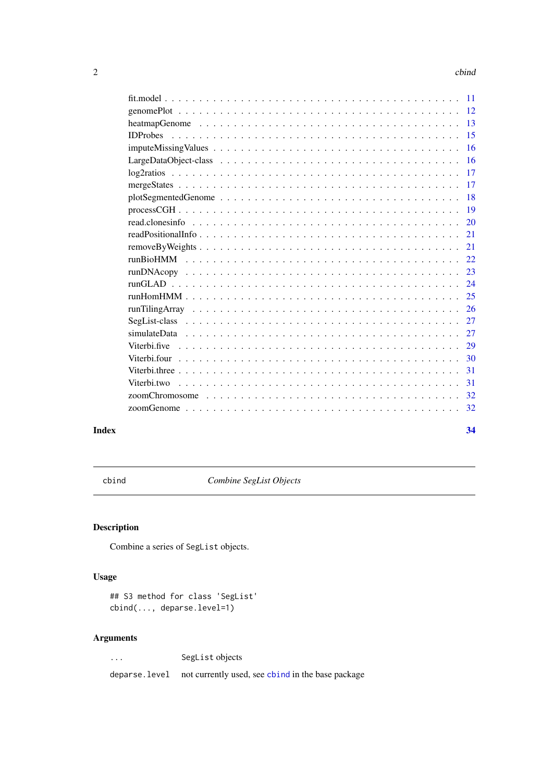#### <span id="page-1-0"></span> $2 \cos \theta$  cbind  $\theta$  cbind  $\theta$  cbind  $\theta$  cbind  $\theta$  cbind  $\theta$  cbind  $\theta$  cbind  $\theta$  cbind  $\theta$  cbind  $\theta$  cbind  $\theta$  control  $\theta$  control  $\theta$  control  $\theta$  control  $\theta$  control  $\theta$  control  $\theta$  control  $\theta$  control  $\theta$

| <b>16</b> |  |
|-----------|--|
|           |  |
|           |  |
|           |  |
|           |  |
|           |  |
|           |  |
|           |  |
|           |  |
|           |  |
|           |  |
|           |  |
|           |  |
|           |  |
|           |  |
|           |  |
|           |  |
|           |  |
| 31        |  |
|           |  |
|           |  |
|           |  |
|           |  |

#### **Index** [34](#page-33-0)

<span id="page-1-1"></span>cbind *Combine SegList Objects*

# Description

Combine a series of SegList objects.

# Usage

```
## S3 method for class 'SegList'
cbind(..., deparse.level=1)
```
## Arguments

... SegList objects

deparse.level not currently used, see [cbind](#page-1-1) in the base package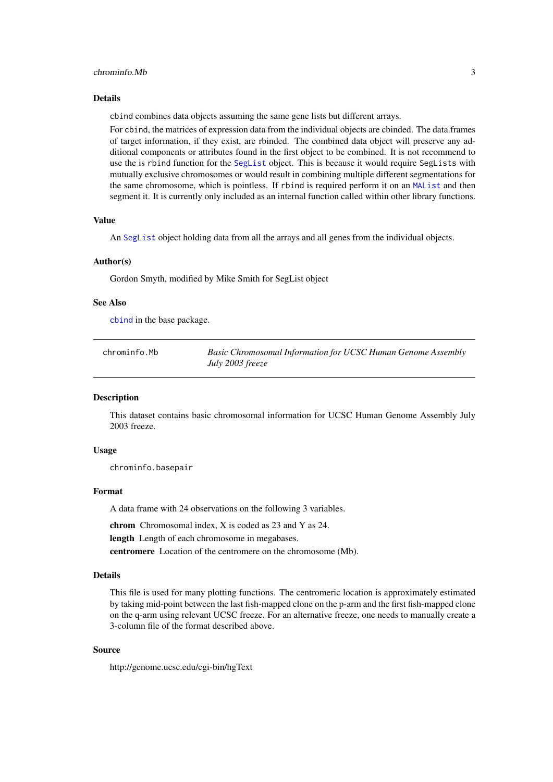#### <span id="page-2-0"></span>chrominfo.Mb 3

#### Details

cbind combines data objects assuming the same gene lists but different arrays.

For cbind, the matrices of expression data from the individual objects are cbinded. The data.frames of target information, if they exist, are rbinded. The combined data object will preserve any additional components or attributes found in the first object to be combined. It is not recommend to use the is rbind function for the [SegList](#page-0-0) object. This is because it would require SegLists with mutually exclusive chromosomes or would result in combining multiple different segmentations for the same chromosome, which is pointless. If rbind is required perform it on an [MAList](#page-0-0) and then segment it. It is currently only included as an internal function called within other library functions.

#### Value

An [SegList](#page-0-0) object holding data from all the arrays and all genes from the individual objects.

#### Author(s)

Gordon Smyth, modified by Mike Smith for SegList object

#### See Also

[cbind](#page-1-1) in the base package.

| chrominfo.Mb | Basic Chromosomal Information for UCSC Human Genome Assembly |
|--------------|--------------------------------------------------------------|
|              | July 2003 freeze                                             |

#### **Description**

This dataset contains basic chromosomal information for UCSC Human Genome Assembly July 2003 freeze.

#### Usage

chrominfo.basepair

#### Format

A data frame with 24 observations on the following 3 variables.

chrom Chromosomal index, X is coded as 23 and Y as 24.

length Length of each chromosome in megabases.

centromere Location of the centromere on the chromosome (Mb).

#### Details

This file is used for many plotting functions. The centromeric location is approximately estimated by taking mid-point between the last fish-mapped clone on the p-arm and the first fish-mapped clone on the q-arm using relevant UCSC freeze. For an alternative freeze, one needs to manually create a 3-column file of the format described above.

# Source

http://genome.ucsc.edu/cgi-bin/hgText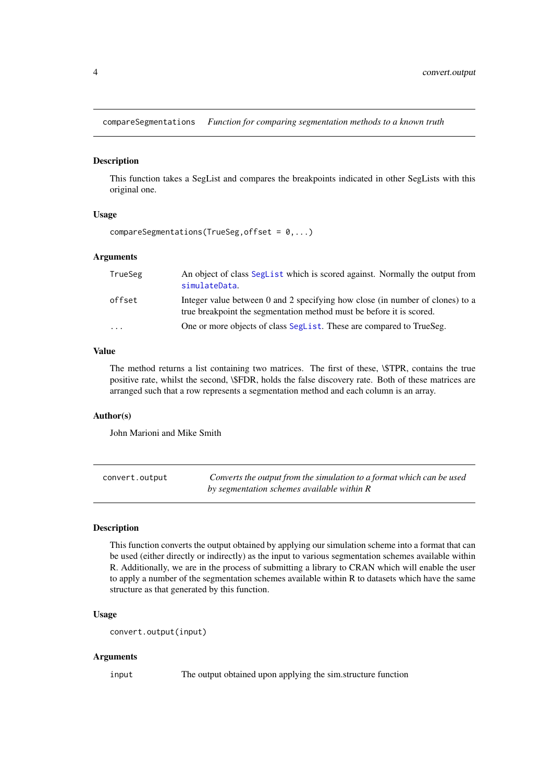<span id="page-3-0"></span>compareSegmentations *Function for comparing segmentation methods to a known truth*

#### Description

This function takes a SegList and compares the breakpoints indicated in other SegLists with this original one.

## Usage

```
compareSegmentations(TrueSeg, offset = 0, \ldots)
```
#### Arguments

| TrueSeg                 | An object of class SegList which is scored against. Normally the output from<br>simulateData.                                                         |
|-------------------------|-------------------------------------------------------------------------------------------------------------------------------------------------------|
| offset                  | Integer value between 0 and 2 specifying how close (in number of clones) to a<br>true breakpoint the segmentation method must be before it is scored. |
| $\cdot$ $\cdot$ $\cdot$ | One or more objects of class SegList. These are compared to TrueSeg.                                                                                  |

## Value

The method returns a list containing two matrices. The first of these, \\$TPR, contains the true positive rate, whilst the second, \\$FDR, holds the false discovery rate. Both of these matrices are arranged such that a row represents a segmentation method and each column is an array.

# Author(s)

John Marioni and Mike Smith

| convert.output | Converts the output from the simulation to a format which can be used |
|----------------|-----------------------------------------------------------------------|
|                | by segmentation schemes available within R                            |

#### Description

This function converts the output obtained by applying our simulation scheme into a format that can be used (either directly or indirectly) as the input to various segmentation schemes available within R. Additionally, we are in the process of submitting a library to CRAN which will enable the user to apply a number of the segmentation schemes available within R to datasets which have the same structure as that generated by this function.

#### Usage

```
convert.output(input)
```
## Arguments

input The output obtained upon applying the sim.structure function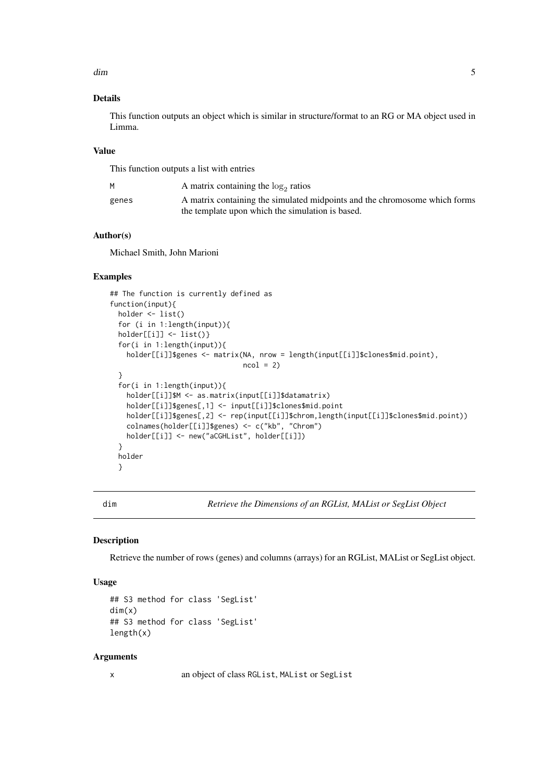<span id="page-4-0"></span>dim 5

#### Details

This function outputs an object which is similar in structure/format to an RG or MA object used in Limma.

## Value

This function outputs a list with entries

| м     | A matrix containing the $log_2$ ratios                                     |
|-------|----------------------------------------------------------------------------|
| genes | A matrix containing the simulated midpoints and the chromosome which forms |
|       | the template upon which the simulation is based.                           |

# Author(s)

Michael Smith, John Marioni

#### Examples

```
## The function is currently defined as
function(input){
 holder <- list()
  for (i in 1:length(input)){
  holder[[i]] <- list()}
  for(i in 1:length(input)){
   holder[[i]]$genes <- matrix(NA, nrow = length(input[[i]]$clones$mid.point),
                               ncol = 2}
  for(i in 1:length(input)){
   holder[[i]]$M <- as.matrix(input[[i]]$datamatrix)
   holder[[i]]$genes[,1] <- input[[i]]$clones$mid.point
   holder[[i]]$genes[,2] <- rep(input[[i]]$chrom,length(input[[i]]$clones$mid.point))
   colnames(holder[[i]]$genes) <- c("kb", "Chrom")
   holder[[i]] <- new("aCGHList", holder[[i]])
  }
  holder
  }
```
<span id="page-4-1"></span>dim *Retrieve the Dimensions of an RGList, MAList or SegList Object*

#### Description

Retrieve the number of rows (genes) and columns (arrays) for an RGList, MAList or SegList object.

#### Usage

```
## S3 method for class 'SegList'
dim(x)
## S3 method for class 'SegList'
length(x)
```
## Arguments

x an object of class RGList, MAList or SegList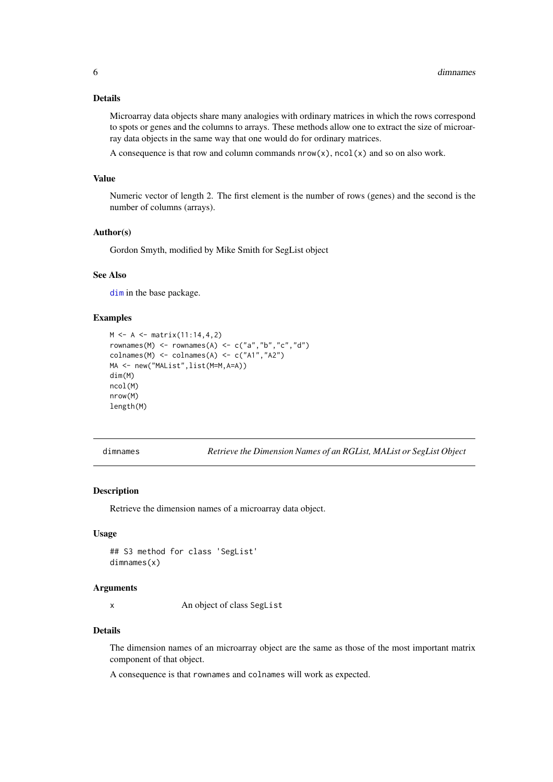## <span id="page-5-0"></span>Details

Microarray data objects share many analogies with ordinary matrices in which the rows correspond to spots or genes and the columns to arrays. These methods allow one to extract the size of microarray data objects in the same way that one would do for ordinary matrices.

A consequence is that row and column commands  $nrow(x)$ ,  $ncol(x)$  and so on also work.

## Value

Numeric vector of length 2. The first element is the number of rows (genes) and the second is the number of columns (arrays).

## Author(s)

Gordon Smyth, modified by Mike Smith for SegList object

#### See Also

[dim](#page-4-1) in the base package.

#### Examples

```
M < - A < - matrix(11:14, 4, 2)rownames(M) <- rownames(A) <- c("a","b","c","d")
colnames(M) <- colnames(A) <- c("A1","A2")
MA <- new("MAList",list(M=M,A=A))
dim(M)
ncol(M)
nrow(M)
length(M)
```
<span id="page-5-1"></span>dimnames *Retrieve the Dimension Names of an RGList, MAList or SegList Object*

#### Description

Retrieve the dimension names of a microarray data object.

#### Usage

```
## S3 method for class 'SegList'
dimnames(x)
```
#### Arguments

x An object of class SegList

#### Details

The dimension names of an microarray object are the same as those of the most important matrix component of that object.

A consequence is that rownames and colnames will work as expected.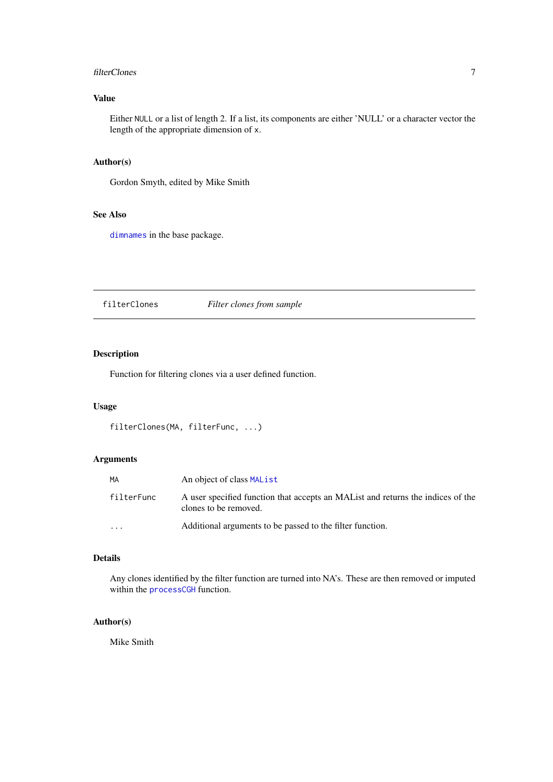#### <span id="page-6-0"></span>filterClones 7

# Value

Either NULL or a list of length 2. If a list, its components are either 'NULL' or a character vector the length of the appropriate dimension of x.

## Author(s)

Gordon Smyth, edited by Mike Smith

# See Also

[dimnames](#page-5-1) in the base package.

<span id="page-6-1"></span>filterClones *Filter clones from sample*

#### Description

Function for filtering clones via a user defined function.

#### Usage

```
filterClones(MA, filterFunc, ...)
```
## Arguments

| MA         | An object of class MAL ist                                                                                |
|------------|-----------------------------------------------------------------------------------------------------------|
| filterFunc | A user specified function that accepts an MAL ist and returns the indices of the<br>clones to be removed. |
| $\cdot$    | Additional arguments to be passed to the filter function.                                                 |

## Details

Any clones identified by the filter function are turned into NA's. These are then removed or imputed within the [processCGH](#page-18-1) function.

## Author(s)

Mike Smith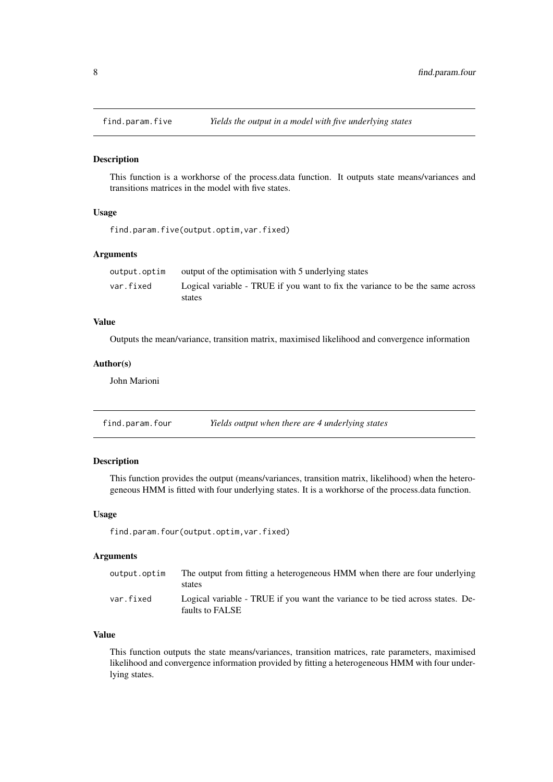<span id="page-7-0"></span>

#### Description

This function is a workhorse of the process.data function. It outputs state means/variances and transitions matrices in the model with five states.

### Usage

find.param.five(output.optim,var.fixed)

#### Arguments

| output.optim | output of the optimisation with 5 underlying states                           |
|--------------|-------------------------------------------------------------------------------|
| var.fixed    | Logical variable - TRUE if you want to fix the variance to be the same across |
|              | states                                                                        |

# Value

Outputs the mean/variance, transition matrix, maximised likelihood and convergence information

#### Author(s)

John Marioni

find.param.four *Yields output when there are 4 underlying states*

## Description

This function provides the output (means/variances, transition matrix, likelihood) when the heterogeneous HMM is fitted with four underlying states. It is a workhorse of the process.data function.

# Usage

find.param.four(output.optim,var.fixed)

#### Arguments

| output.optim | The output from fitting a heterogeneous HMM when there are four underlying<br>states              |
|--------------|---------------------------------------------------------------------------------------------------|
| var.fixed    | Logical variable - TRUE if you want the variance to be tied across states. De-<br>faults to FALSE |

# Value

This function outputs the state means/variances, transition matrices, rate parameters, maximised likelihood and convergence information provided by fitting a heterogeneous HMM with four underlying states.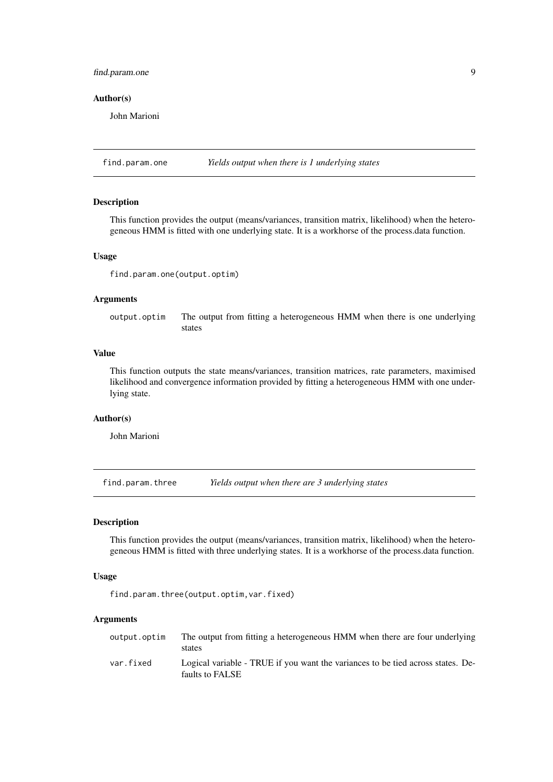#### <span id="page-8-0"></span>find.param.one 9

#### Author(s)

John Marioni

find.param.one *Yields output when there is 1 underlying states*

#### Description

This function provides the output (means/variances, transition matrix, likelihood) when the heterogeneous HMM is fitted with one underlying state. It is a workhorse of the process.data function.

#### Usage

```
find.param.one(output.optim)
```
## Arguments

output.optim The output from fitting a heterogeneous HMM when there is one underlying states

## Value

This function outputs the state means/variances, transition matrices, rate parameters, maximised likelihood and convergence information provided by fitting a heterogeneous HMM with one underlying state.

## Author(s)

John Marioni

find.param.three *Yields output when there are 3 underlying states*

## Description

This function provides the output (means/variances, transition matrix, likelihood) when the heterogeneous HMM is fitted with three underlying states. It is a workhorse of the process.data function.

#### Usage

find.param.three(output.optim,var.fixed)

| output.optim | The output from fitting a heterogeneous HMM when there are four underlying<br>states               |
|--------------|----------------------------------------------------------------------------------------------------|
| var.fixed    | Logical variable - TRUE if you want the variances to be tied across states. De-<br>faults to FALSE |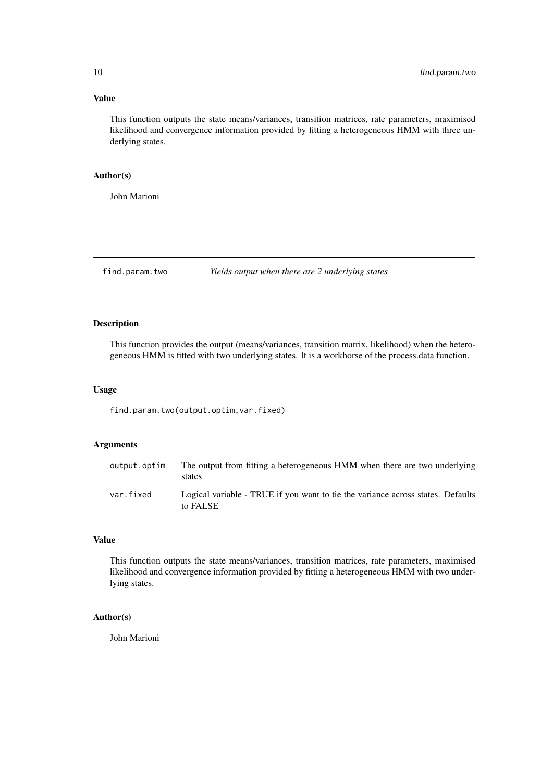#### Value

This function outputs the state means/variances, transition matrices, rate parameters, maximised likelihood and convergence information provided by fitting a heterogeneous HMM with three underlying states.

#### Author(s)

John Marioni

find.param.two *Yields output when there are 2 underlying states*

#### Description

This function provides the output (means/variances, transition matrix, likelihood) when the heterogeneous HMM is fitted with two underlying states. It is a workhorse of the process.data function.

#### Usage

find.param.two(output.optim,var.fixed)

#### Arguments

| output.optim | The output from fitting a heterogeneous HMM when there are two underlying<br>states         |
|--------------|---------------------------------------------------------------------------------------------|
| var.fixed    | Logical variable - TRUE if you want to tie the variance across states. Defaults<br>to FALSE |

#### Value

This function outputs the state means/variances, transition matrices, rate parameters, maximised likelihood and convergence information provided by fitting a heterogeneous HMM with two underlying states.

## Author(s)

John Marioni

<span id="page-9-0"></span>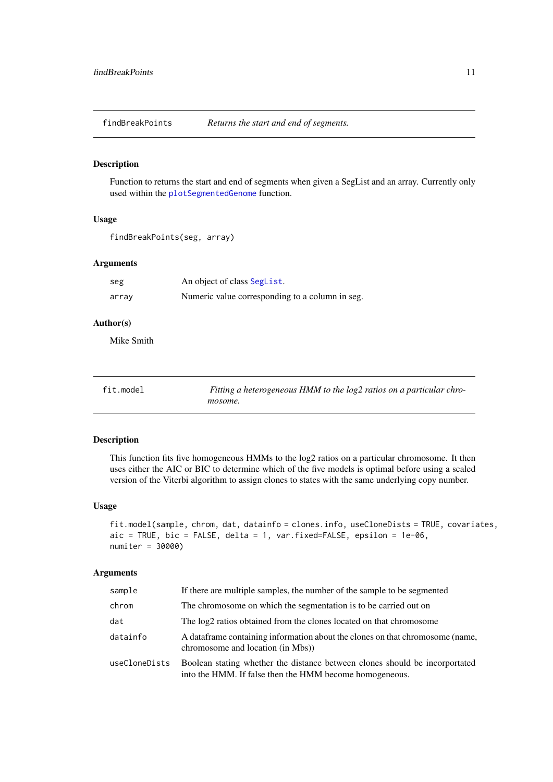<span id="page-10-0"></span>findBreakPoints *Returns the start and end of segments.*

#### Description

Function to returns the start and end of segments when given a SegList and an array. Currently only used within the [plotSegmentedGenome](#page-17-1) function.

#### Usage

```
findBreakPoints(seg, array)
```
#### Arguments

| seg   | An object of class Seglist.                     |
|-------|-------------------------------------------------|
| array | Numeric value corresponding to a column in seg. |

### Author(s)

Mike Smith

fit.model *Fitting a heterogeneous HMM to the log2 ratios on a particular chromosome.*

#### Description

This function fits five homogeneous HMMs to the log2 ratios on a particular chromosome. It then uses either the AIC or BIC to determine which of the five models is optimal before using a scaled version of the Viterbi algorithm to assign clones to states with the same underlying copy number.

#### Usage

```
fit.model(sample, chrom, dat, datainfo = clones.info, useCloneDists = TRUE, covariates,
aic = TRUE, bic = FALSE, delta = 1, var.fixed=FALSE, epsilon = 1e-06,
numiter = 30000)
```

| sample        | If there are multiple samples, the number of the sample to be segmented                                                                |
|---------------|----------------------------------------------------------------------------------------------------------------------------------------|
| chrom         | The chromosome on which the segmentation is to be carried out on                                                                       |
| dat           | The log2 ratios obtained from the clones located on that chromosome                                                                    |
| datainfo      | A dataframe containing information about the clones on that chromosome (name,<br>chromosome and location (in Mbs))                     |
| useCloneDists | Boolean stating whether the distance between clones should be incorportated<br>into the HMM. If false then the HMM become homogeneous. |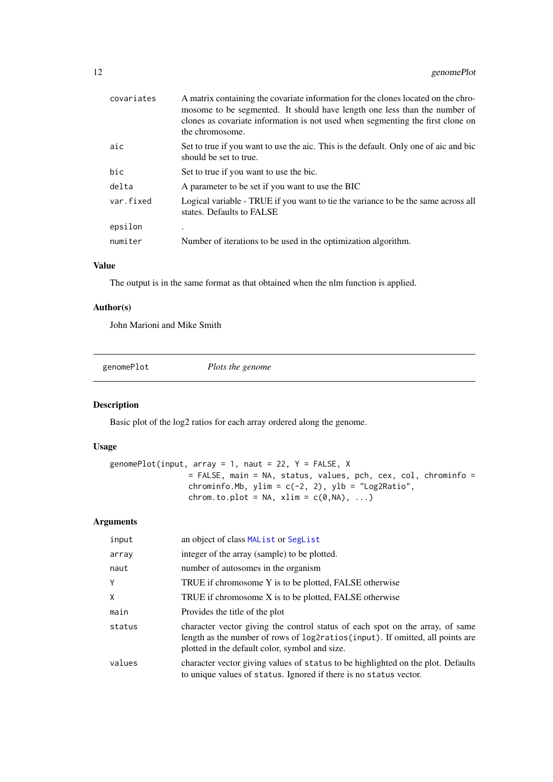<span id="page-11-0"></span>

| covariates | A matrix containing the covariate information for the clones located on the chro-<br>mosome to be segmented. It should have length one less than the number of<br>clones as covariate information is not used when segmenting the first clone on<br>the chromosome. |
|------------|---------------------------------------------------------------------------------------------------------------------------------------------------------------------------------------------------------------------------------------------------------------------|
| aic        | Set to true if you want to use the aic. This is the default. Only one of aic and bic<br>should be set to true.                                                                                                                                                      |
| bic        | Set to true if you want to use the bic.                                                                                                                                                                                                                             |
| delta      | A parameter to be set if you want to use the BIC                                                                                                                                                                                                                    |
| var.fixed  | Logical variable - TRUE if you want to tie the variance to be the same across all<br>states. Defaults to FALSE                                                                                                                                                      |
| epsilon    |                                                                                                                                                                                                                                                                     |
| numiter    | Number of iterations to be used in the optimization algorithm.                                                                                                                                                                                                      |
|            |                                                                                                                                                                                                                                                                     |

## Value

The output is in the same format as that obtained when the nlm function is applied.

#### Author(s)

John Marioni and Mike Smith

<span id="page-11-1"></span>genomePlot *Plots the genome*

# Description

Basic plot of the log2 ratios for each array ordered along the genome.

# Usage

```
genomePlot(input, array = 1, naut = 22, Y = FALSE, X
                 = FALSE, main = NA, status, values, pch, cex, col, chrominfo =
                 chrominfo.Mb, ylim = c(-2, 2), ylb = "Log2Ratio",chrom.to.plot = NA, xlim = c(\emptyset, NA), ...)
```

| input  | an object of class MAL ist or SegList                                                                                                                                                                            |
|--------|------------------------------------------------------------------------------------------------------------------------------------------------------------------------------------------------------------------|
| array  | integer of the array (sample) to be plotted.                                                                                                                                                                     |
| naut   | number of autosomes in the organism                                                                                                                                                                              |
| Y      | TRUE if chromosome Y is to be plotted, FALSE otherwise                                                                                                                                                           |
| X      | TRUE if chromosome X is to be plotted, FALSE otherwise                                                                                                                                                           |
| main   | Provides the title of the plot                                                                                                                                                                                   |
| status | character vector giving the control status of each spot on the array, of same<br>length as the number of rows of log2ratios(input). If omitted, all points are<br>plotted in the default color, symbol and size. |
| values | character vector giving values of status to be highlighted on the plot. Defaults<br>to unique values of status. Ignored if there is no status vector.                                                            |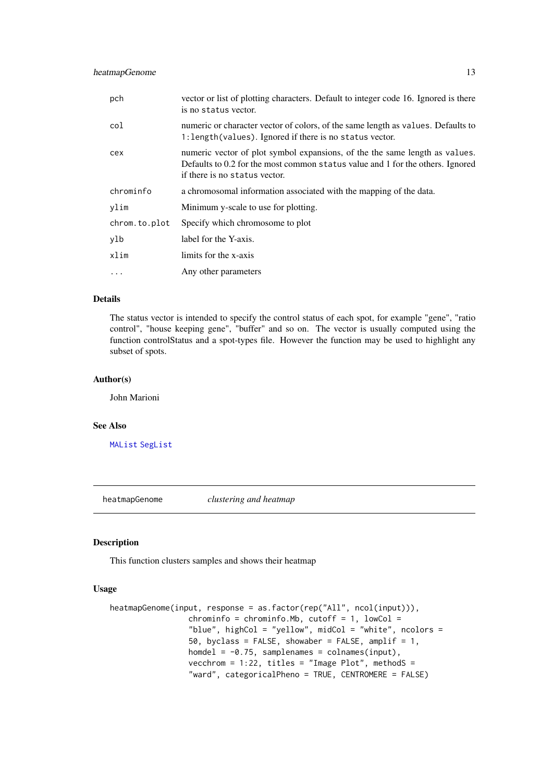<span id="page-12-0"></span>

| pch           | vector or list of plotting characters. Default to integer code 16. Ignored is there<br>is no status vector.                                                                                    |
|---------------|------------------------------------------------------------------------------------------------------------------------------------------------------------------------------------------------|
| col           | numeric or character vector of colors, of the same length as values. Defaults to<br>1: length (values). Ignored if there is no status vector.                                                  |
| cex           | numeric vector of plot symbol expansions, of the the same length as values.<br>Defaults to 0.2 for the most common status value and 1 for the others. Ignored<br>if there is no status vector. |
| chrominfo     | a chromosomal information associated with the mapping of the data.                                                                                                                             |
| ylim          | Minimum y-scale to use for plotting.                                                                                                                                                           |
| chrom.to.plot | Specify which chromosome to plot                                                                                                                                                               |
| ylb           | label for the Y-axis.                                                                                                                                                                          |
| xlim          | limits for the x-axis                                                                                                                                                                          |
| $\ddotsc$     | Any other parameters                                                                                                                                                                           |

# Details

The status vector is intended to specify the control status of each spot, for example "gene", "ratio control", "house keeping gene", "buffer" and so on. The vector is usually computed using the function controlStatus and a spot-types file. However the function may be used to highlight any subset of spots.

#### Author(s)

John Marioni

## See Also

[MAList](#page-0-0) [SegList](#page-0-0)

heatmapGenome *clustering and heatmap*

## <span id="page-12-1"></span>Description

This function clusters samples and shows their heatmap

```
heatmapGenome(input, response = as.factor(rep("All", ncol(input))),
                 chrominfo = chrominfo.Mb, cutoff = 1, lowCol =
                 "blue", highCol = "yellow", midCol = "white", ncolors =
                 50, byclass = FALSE, showaber = FALSE, amplif = 1,
                 homdel = -0.75, samplenames = colnames(input),
                 vecchrom = 1:22, titles = "Image Plot", methodS =
                 "ward", categoricalPheno = TRUE, CENTROMERE = FALSE)
```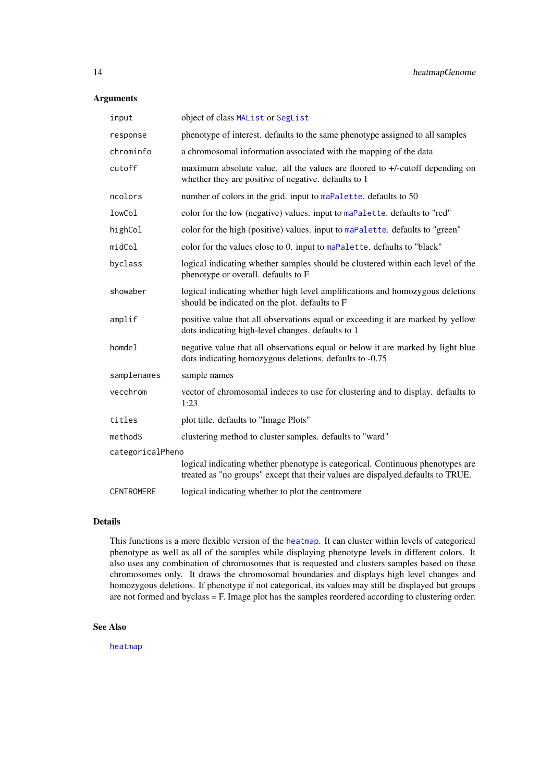#### <span id="page-13-0"></span>Arguments

| input             | object of class MAList or SegList                                                                                                                                 |
|-------------------|-------------------------------------------------------------------------------------------------------------------------------------------------------------------|
| response          | phenotype of interest. defaults to the same phenotype assigned to all samples                                                                                     |
| chrominfo         | a chromosomal information associated with the mapping of the data                                                                                                 |
| cutoff            | maximum absolute value. all the values are floored to +/-cutoff depending on<br>whether they are positive of negative. defaults to 1                              |
| ncolors           | number of colors in the grid. input to maPalette. defaults to 50                                                                                                  |
| lowCol            | color for the low (negative) values. input to maPalette. defaults to "red"                                                                                        |
| highCol           | color for the high (positive) values. input to maPalette. defaults to "green"                                                                                     |
| midCol            | color for the values close to 0. input to maPalette. defaults to "black"                                                                                          |
| byclass           | logical indicating whether samples should be clustered within each level of the<br>phenotype or overall. defaults to F                                            |
| showaber          | logical indicating whether high level amplifications and homozygous deletions<br>should be indicated on the plot. defaults to F                                   |
| amplif            | positive value that all observations equal or exceeding it are marked by yellow<br>dots indicating high-level changes. defaults to 1                              |
| homdel            | negative value that all observations equal or below it are marked by light blue<br>dots indicating homozygous deletions. defaults to -0.75                        |
| samplenames       | sample names                                                                                                                                                      |
| vecchrom          | vector of chromosomal indeces to use for clustering and to display. defaults to<br>1:23                                                                           |
| titles            | plot title. defaults to "Image Plots"                                                                                                                             |
| methodS           | clustering method to cluster samples. defaults to "ward"                                                                                                          |
| categoricalPheno  |                                                                                                                                                                   |
|                   | logical indicating whether phenotype is categorical. Continuous phenotypes are<br>treated as "no groups" except that their values are dispalyed.defaults to TRUE. |
| <b>CENTROMERE</b> | logical indicating whether to plot the centromere                                                                                                                 |

#### Details

This functions is a more flexible version of the [heatmap](#page-0-0). It can cluster within levels of categorical phenotype as well as all of the samples while displaying phenotype levels in different colors. It also uses any combination of chromosomes that is requested and clusters samples based on these chromosomes only. It draws the chromosomal boundaries and displays high level changes and homozygous deletions. If phenotype if not categorical, its values may still be displayed but groups are not formed and byclass  $=$  F. Image plot has the samples reordered according to clustering order.

# See Also

[heatmap](#page-0-0)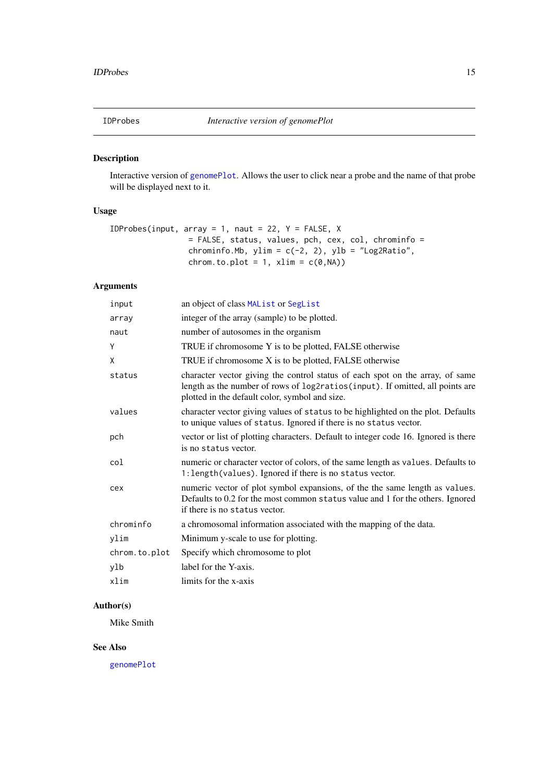<span id="page-14-0"></span>

# Description

Interactive version of [genomePlot](#page-11-1). Allows the user to click near a probe and the name of that probe will be displayed next to it.

# Usage

```
IDProbes(input, array = 1, naut = 22, Y = FALSE, X
                = FALSE, status, values, pch, cex, col, chrominfo =
                chrominfo.Mb, ylim = c(-2, 2), ylb = "Log2Ratio",
                chrom.to.plot = 1, xlim = c(0, NA)
```
# Arguments

| input         | an object of class MAList or SegList                                                                                                                                                                             |
|---------------|------------------------------------------------------------------------------------------------------------------------------------------------------------------------------------------------------------------|
| array         | integer of the array (sample) to be plotted.                                                                                                                                                                     |
| naut          | number of autosomes in the organism                                                                                                                                                                              |
| Υ             | TRUE if chromosome Y is to be plotted, FALSE otherwise                                                                                                                                                           |
| X             | TRUE if chromosome X is to be plotted, FALSE otherwise                                                                                                                                                           |
| status        | character vector giving the control status of each spot on the array, of same<br>length as the number of rows of log2ratios(input). If omitted, all points are<br>plotted in the default color, symbol and size. |
| values        | character vector giving values of status to be highlighted on the plot. Defaults<br>to unique values of status. Ignored if there is no status vector.                                                            |
| pch           | vector or list of plotting characters. Default to integer code 16. Ignored is there<br>is no status vector.                                                                                                      |
| col           | numeric or character vector of colors, of the same length as values. Defaults to<br>1: length (values). Ignored if there is no status vector.                                                                    |
| cex           | numeric vector of plot symbol expansions, of the the same length as values.<br>Defaults to 0.2 for the most common status value and 1 for the others. Ignored<br>if there is no status vector.                   |
| chrominfo     | a chromosomal information associated with the mapping of the data.                                                                                                                                               |
| ylim          | Minimum y-scale to use for plotting.                                                                                                                                                                             |
| chrom.to.plot | Specify which chromosome to plot                                                                                                                                                                                 |
| ylb           | label for the Y-axis.                                                                                                                                                                                            |
| xlim          | limits for the x-axis                                                                                                                                                                                            |
|               |                                                                                                                                                                                                                  |

# Author(s)

Mike Smith

# See Also

[genomePlot](#page-11-1)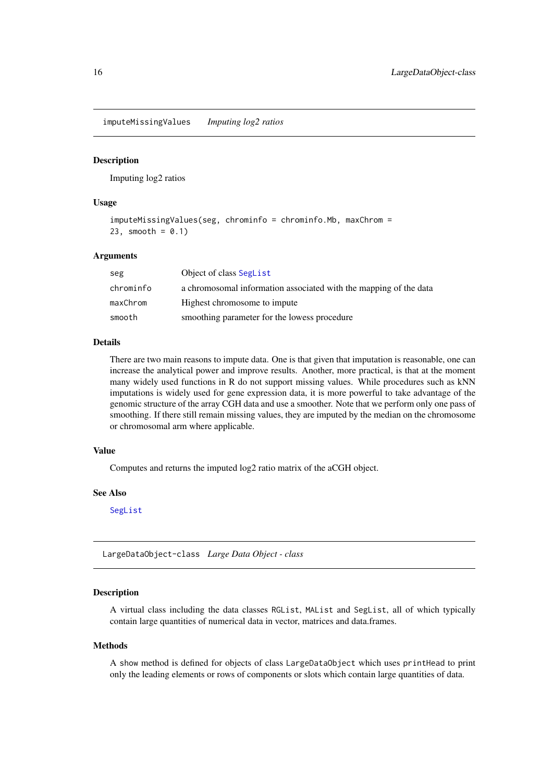<span id="page-15-0"></span>imputeMissingValues *Imputing log2 ratios*

#### Description

Imputing log2 ratios

#### Usage

```
imputeMissingValues(seg, chrominfo = chrominfo.Mb, maxChrom =
23, smooth = 0.1)
```
#### Arguments

| seg       | Object of class Seglist                                           |
|-----------|-------------------------------------------------------------------|
| chrominfo | a chromosomal information associated with the mapping of the data |
| maxChrom  | Highest chromosome to impute                                      |
| smooth    | smoothing parameter for the lowess procedure                      |

# Details

There are two main reasons to impute data. One is that given that imputation is reasonable, one can increase the analytical power and improve results. Another, more practical, is that at the moment many widely used functions in R do not support missing values. While procedures such as kNN imputations is widely used for gene expression data, it is more powerful to take advantage of the genomic structure of the array CGH data and use a smoother. Note that we perform only one pass of smoothing. If there still remain missing values, they are imputed by the median on the chromosome or chromosomal arm where applicable.

#### Value

Computes and returns the imputed log2 ratio matrix of the aCGH object.

#### See Also

[SegList](#page-0-0)

LargeDataObject-class *Large Data Object - class*

#### Description

A virtual class including the data classes RGList, MAList and SegList, all of which typically contain large quantities of numerical data in vector, matrices and data.frames.

#### Methods

A show method is defined for objects of class LargeDataObject which uses printHead to print only the leading elements or rows of components or slots which contain large quantities of data.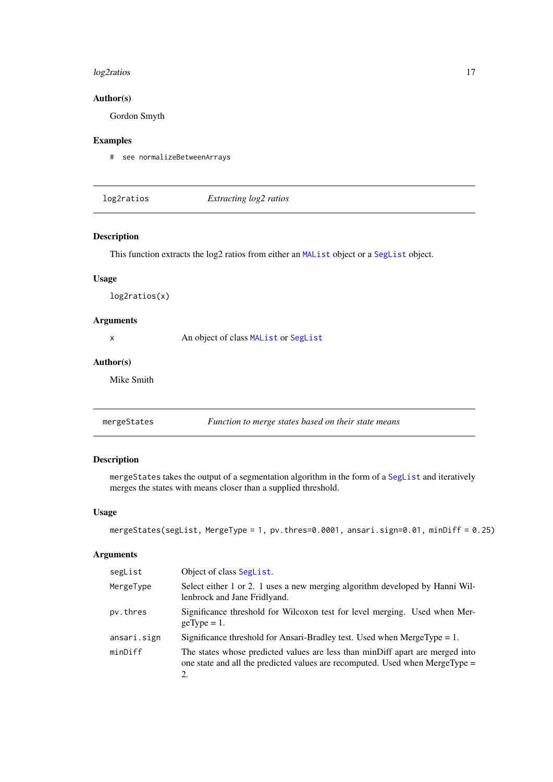## <span id="page-16-0"></span>log2ratios 17

## Author(s)

Gordon Smyth

## Examples

# see normalizeBetweenArrays

log2ratios *Extracting log2 ratios*

## Description

This function extracts the log2 ratios from either an [MAList](#page-0-0) object or a [SegList](#page-0-0) object.

#### Usage

log2ratios(x)

### Arguments

x An object of class [MAList](#page-0-0) or [SegList](#page-0-0)

#### Author(s)

Mike Smith

mergeStates *Function to merge states based on their state means*

## Description

mergeStates takes the output of a segmentation algorithm in the form of a [SegList](#page-0-0) and iteratively merges the states with means closer than a supplied threshold.

## Usage

```
mergeStates(segList, MergeType = 1, pv.thres=0.0001, ansari.sign=0.01, minDiff = 0.25)
```

| segList     | Object of class SegList.                                                                                                                                            |
|-------------|---------------------------------------------------------------------------------------------------------------------------------------------------------------------|
| MergeType   | Select either 1 or 2. 1 uses a new merging algorithm developed by Hanni Wil-<br>lenbrock and Jane Fridlyand.                                                        |
| pv.thres    | Significance threshold for Wilcoxon test for level merging. Used when Mer-<br>$geType = 1$ .                                                                        |
| ansari.sign | Significance threshold for Ansari-Bradley test. Used when MergeType $= 1$ .                                                                                         |
| minDiff     | The states whose predicted values are less than minDiff apart are merged into<br>one state and all the predicted values are recomputed. Used when MergeType =<br>2. |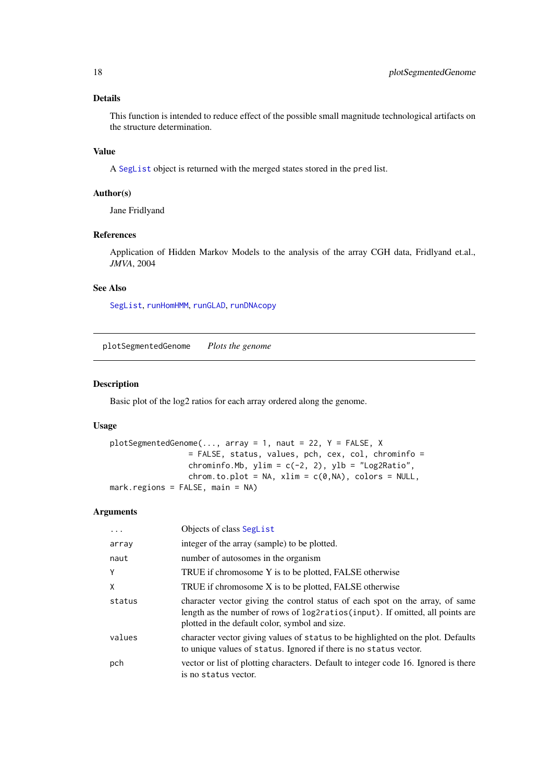#### <span id="page-17-0"></span>Details

This function is intended to reduce effect of the possible small magnitude technological artifacts on the structure determination.

## Value

A [SegList](#page-0-0) object is returned with the merged states stored in the pred list.

## Author(s)

Jane Fridlyand

## References

Application of Hidden Markov Models to the analysis of the array CGH data, Fridlyand et.al., *JMVA*, 2004

# See Also

[SegList](#page-0-0), [runHomHMM](#page-24-1), [runGLAD](#page-23-1), [runDNAcopy](#page-22-1)

<span id="page-17-1"></span>plotSegmentedGenome *Plots the genome*

#### Description

Basic plot of the log2 ratios for each array ordered along the genome.

#### Usage

```
plotsegmentedGenome(..., \text{ array = 1, naut = 22, Y = FALSE, X})= FALSE, status, values, pch, cex, col, chrominfo =
                 chrominfo.Mb, ylim = c(-2, 2), ylb = "Log2Ratio",
                 chrom.to.plot = NA, xlim = c(0, NA), colors = NULL,
mark.regions = FALSE, main = NA)
```

| $\cdots$ | Objects of class SegList                                                                                                                                                                                         |
|----------|------------------------------------------------------------------------------------------------------------------------------------------------------------------------------------------------------------------|
| array    | integer of the array (sample) to be plotted.                                                                                                                                                                     |
| naut     | number of autosomes in the organism                                                                                                                                                                              |
| Y        | TRUE if chromosome Y is to be plotted, FALSE otherwise                                                                                                                                                           |
| X        | TRUE if chromosome X is to be plotted, FALSE otherwise                                                                                                                                                           |
| status   | character vector giving the control status of each spot on the array, of same<br>length as the number of rows of log2ratios(input). If omitted, all points are<br>plotted in the default color, symbol and size. |
| values   | character vector giving values of status to be highlighted on the plot. Defaults<br>to unique values of status. Ignored if there is no status vector.                                                            |
| pch      | vector or list of plotting characters. Default to integer code 16. Ignored is there<br>is no status vector.                                                                                                      |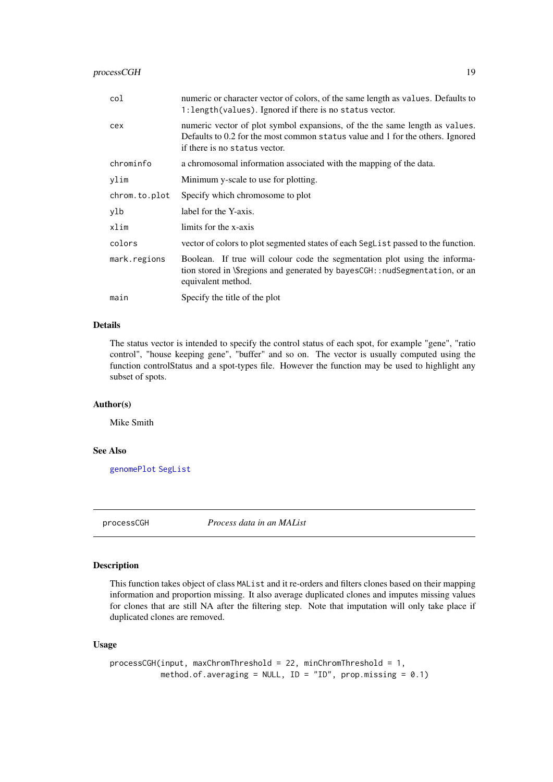<span id="page-18-0"></span>

| col           | numeric or character vector of colors, of the same length as values. Defaults to<br>1: length (values). Ignored if there is no status vector.                                                  |
|---------------|------------------------------------------------------------------------------------------------------------------------------------------------------------------------------------------------|
| cex           | numeric vector of plot symbol expansions, of the the same length as values.<br>Defaults to 0.2 for the most common status value and 1 for the others. Ignored<br>if there is no status vector. |
| chrominfo     | a chromosomal information associated with the mapping of the data.                                                                                                                             |
| ylim          | Minimum y-scale to use for plotting.                                                                                                                                                           |
| chrom.to.plot | Specify which chromosome to plot                                                                                                                                                               |
| ylb           | label for the Y-axis.                                                                                                                                                                          |
| xlim          | limits for the x-axis                                                                                                                                                                          |
| colors        | vector of colors to plot segmented states of each SegList passed to the function.                                                                                                              |
| mark.regions  | Boolean. If true will colour code the segmentation plot using the informa-<br>tion stored in \\$regions and generated by bayesCGH:: nudSegmentation, or an<br>equivalent method.               |
| main          | Specify the title of the plot                                                                                                                                                                  |

## Details

The status vector is intended to specify the control status of each spot, for example "gene", "ratio control", "house keeping gene", "buffer" and so on. The vector is usually computed using the function controlStatus and a spot-types file. However the function may be used to highlight any subset of spots.

#### Author(s)

Mike Smith

#### See Also

[genomePlot](#page-11-1) [SegList](#page-0-0)

<span id="page-18-1"></span>processCGH *Process data in an MAList*

#### Description

This function takes object of class MAList and it re-orders and filters clones based on their mapping information and proportion missing. It also average duplicated clones and imputes missing values for clones that are still NA after the filtering step. Note that imputation will only take place if duplicated clones are removed.

```
processCGH(input, maxChromThreshold = 22, minChromThreshold = 1,
           method.of.averaging = NULL, ID = "ID", prop.missing = 0.1)
```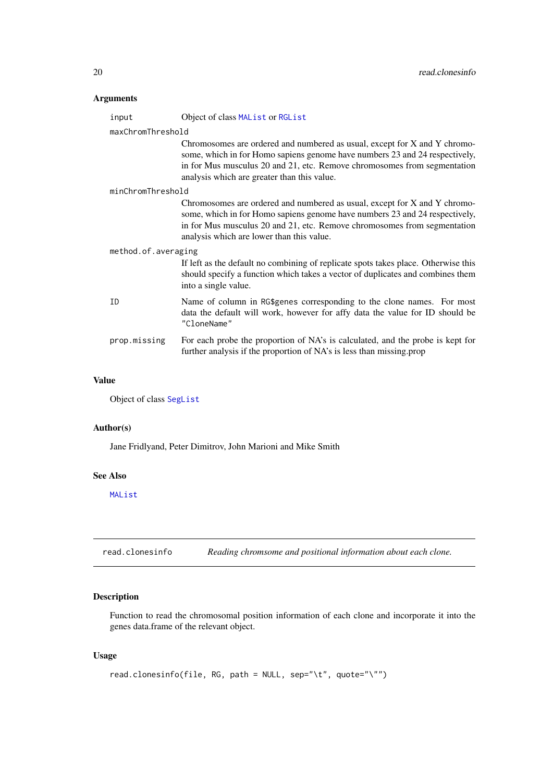#### <span id="page-19-0"></span>Arguments

| maxChromThreshold |                                                                                                                                                                                                                                                                                   |  |  |
|-------------------|-----------------------------------------------------------------------------------------------------------------------------------------------------------------------------------------------------------------------------------------------------------------------------------|--|--|
|                   | Chromosomes are ordered and numbered as usual, except for X and Y chromo-<br>some, which in for Homo sapiens genome have numbers 23 and 24 respectively,<br>in for Mus musculus 20 and 21, etc. Remove chromosomes from segmentation                                              |  |  |
|                   | analysis which are greater than this value.                                                                                                                                                                                                                                       |  |  |
| minChromThreshold |                                                                                                                                                                                                                                                                                   |  |  |
|                   | Chromosomes are ordered and numbered as usual, except for X and Y chromo-<br>some, which in for Homo sapiens genome have numbers 23 and 24 respectively,<br>in for Mus musculus 20 and 21, etc. Remove chromosomes from segmentation<br>analysis which are lower than this value. |  |  |
|                   | method.of.averaging                                                                                                                                                                                                                                                               |  |  |
|                   | If left as the default no combining of replicate spots takes place. Otherwise this<br>should specify a function which takes a vector of duplicates and combines them<br>into a single value.                                                                                      |  |  |
| ID                | Name of column in RG\$genes corresponding to the clone names. For most<br>data the default will work, however for affy data the value for ID should be<br>"CloneName"                                                                                                             |  |  |
| prop.missing      | For each probe the proportion of NA's is calculated, and the probe is kept for<br>further analysis if the proportion of NA's is less than missing prop                                                                                                                            |  |  |

#### Value

Object of class [SegList](#page-0-0)

## Author(s)

Jane Fridlyand, Peter Dimitrov, John Marioni and Mike Smith

input Object of class [MAList](#page-0-0) or [RGList](#page-0-0)

#### See Also

[MAList](#page-0-0)

read.clonesinfo *Reading chromsome and positional information about each clone.*

# Description

Function to read the chromosomal position information of each clone and incorporate it into the genes data.frame of the relevant object.

```
read.clonesinfo(file, RG, path = NULL, sep="\t", quote="\"")
```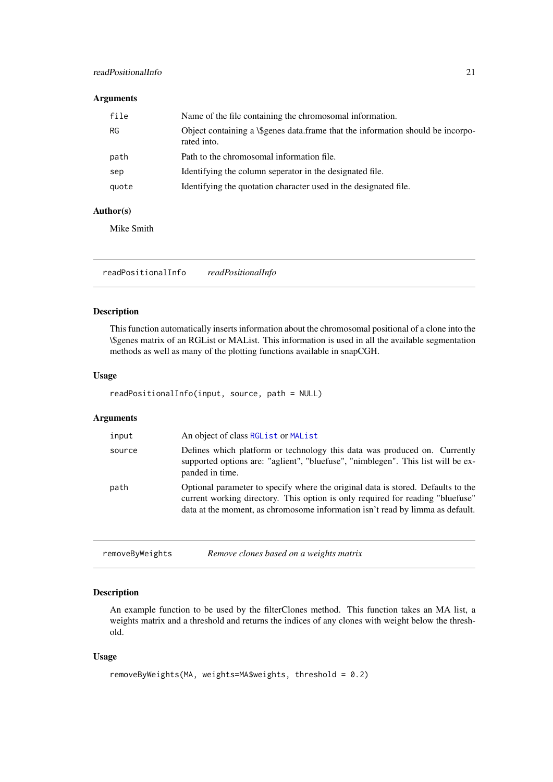#### <span id="page-20-0"></span>readPositionalInfo 21

## Arguments

| file  | Name of the file containing the chromosomal information.                                       |
|-------|------------------------------------------------------------------------------------------------|
| RG    | Object containing a \\$genes data.frame that the information should be incorpo-<br>rated into. |
| path  | Path to the chromosomal information file.                                                      |
| sep   | Identifying the column seperator in the designated file.                                       |
| quote | Identifying the quotation character used in the designated file.                               |

## Author(s)

Mike Smith

readPositionalInfo *readPositionalInfo*

#### Description

This function automatically inserts information about the chromosomal positional of a clone into the \\$genes matrix of an RGList or MAList. This information is used in all the available segmentation methods as well as many of the plotting functions available in snapCGH.

#### Usage

```
readPositionalInfo(input, source, path = NULL)
```
## Arguments

| input  | An object of class RGL ist or MAL ist                                                                                                                                                                                                               |
|--------|-----------------------------------------------------------------------------------------------------------------------------------------------------------------------------------------------------------------------------------------------------|
| source | Defines which platform or technology this data was produced on. Currently<br>supported options are: "aglient", "bluefuse", "nimblegen". This list will be ex-<br>panded in time.                                                                    |
| path   | Optional parameter to specify where the original data is stored. Defaults to the<br>current working directory. This option is only required for reading "bluefuse"<br>data at the moment, as chromosome information isn't read by limma as default. |

| removeByWeights | Remove clones based on a weights matrix |  |
|-----------------|-----------------------------------------|--|
|-----------------|-----------------------------------------|--|

## Description

An example function to be used by the filterClones method. This function takes an MA list, a weights matrix and a threshold and returns the indices of any clones with weight below the threshold.

```
removeByWeights(MA, weights=MA$weights, threshold = 0.2)
```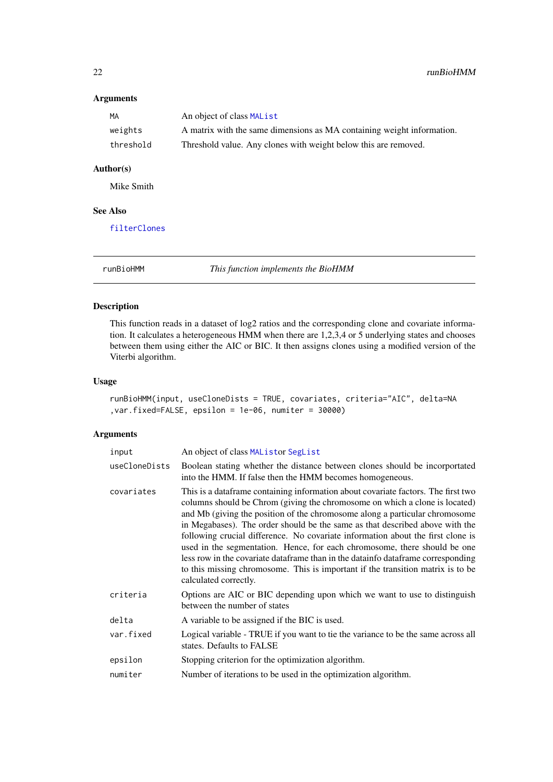## Arguments

| MA        | An object of class MAList                                              |
|-----------|------------------------------------------------------------------------|
| weights   | A matrix with the same dimensions as MA containing weight information. |
| threshold | Threshold value. Any clones with weight below this are removed.        |

# Author(s)

Mike Smith

## See Also

[filterClones](#page-6-1)

runBioHMM *This function implements the BioHMM*

## Description

This function reads in a dataset of log2 ratios and the corresponding clone and covariate information. It calculates a heterogeneous HMM when there are 1,2,3,4 or 5 underlying states and chooses between them using either the AIC or BIC. It then assigns clones using a modified version of the Viterbi algorithm.

# Usage

```
runBioHMM(input, useCloneDists = TRUE, covariates, criteria="AIC", delta=NA
,var.fixed=FALSE, epsilon = 1e-06, numiter = 30000)
```

| input         | An object of class MAListor SegList                                                                                                                                                                                                                                                                                                                                                                                                                                                                                                                                                                                                                                                              |
|---------------|--------------------------------------------------------------------------------------------------------------------------------------------------------------------------------------------------------------------------------------------------------------------------------------------------------------------------------------------------------------------------------------------------------------------------------------------------------------------------------------------------------------------------------------------------------------------------------------------------------------------------------------------------------------------------------------------------|
| useCloneDists | Boolean stating whether the distance between clones should be incorportated<br>into the HMM. If false then the HMM becomes homogeneous.                                                                                                                                                                                                                                                                                                                                                                                                                                                                                                                                                          |
| covariates    | This is a data frame containing information about covariate factors. The first two<br>columns should be Chrom (giving the chromosome on which a clone is located)<br>and Mb (giving the position of the chromosome along a particular chromosome<br>in Megabases). The order should be the same as that described above with the<br>following crucial difference. No covariate information about the first clone is<br>used in the segmentation. Hence, for each chromosome, there should be one<br>less row in the covariate dataframe than in the datainfo dataframe corresponding<br>to this missing chromosome. This is important if the transition matrix is to be<br>calculated correctly. |
| criteria      | Options are AIC or BIC depending upon which we want to use to distinguish<br>between the number of states                                                                                                                                                                                                                                                                                                                                                                                                                                                                                                                                                                                        |
| delta         | A variable to be assigned if the BIC is used.                                                                                                                                                                                                                                                                                                                                                                                                                                                                                                                                                                                                                                                    |
| var.fixed     | Logical variable - TRUE if you want to tie the variance to be the same across all<br>states. Defaults to FALSE                                                                                                                                                                                                                                                                                                                                                                                                                                                                                                                                                                                   |
| epsilon       | Stopping criterion for the optimization algorithm.                                                                                                                                                                                                                                                                                                                                                                                                                                                                                                                                                                                                                                               |
| numiter       | Number of iterations to be used in the optimization algorithm.                                                                                                                                                                                                                                                                                                                                                                                                                                                                                                                                                                                                                                   |

<span id="page-21-0"></span>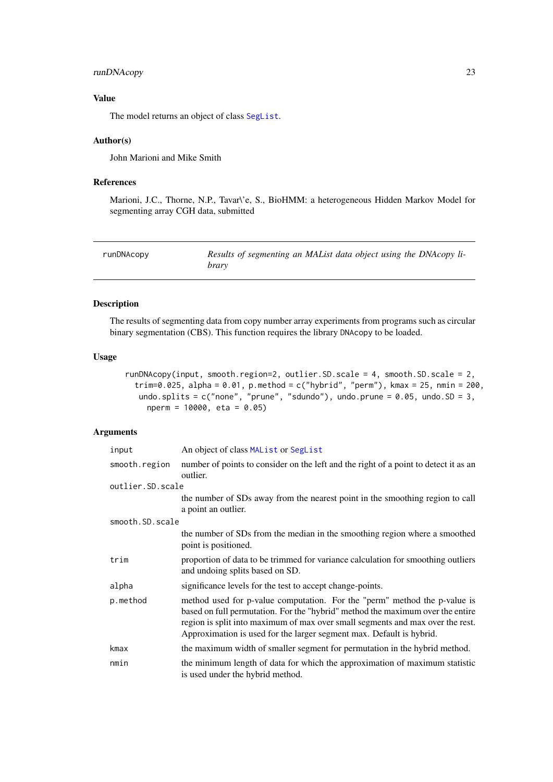#### <span id="page-22-0"></span>runDNAcopy 23

## Value

The model returns an object of class [SegList](#page-0-0).

#### Author(s)

John Marioni and Mike Smith

#### References

Marioni, J.C., Thorne, N.P., Tavar\'e, S., BioHMM: a heterogeneous Hidden Markov Model for segmenting array CGH data, submitted

<span id="page-22-1"></span>

| runDNAcopy | Results of segmenting an MAList data object using the DNAcopy li- |
|------------|-------------------------------------------------------------------|
|            | brary                                                             |

# Description

The results of segmenting data from copy number array experiments from programs such as circular binary segmentation (CBS). This function requires the library DNAcopy to be loaded.

#### Usage

```
runDNAcopy(input, smooth.region=2, outlier.SD.scale = 4, smooth.SD.scale = 2,
  trim=0.025, alpha = 0.01, p.method = c("hybrid", "perm"), kmax = 25, nmin = 200,
  undo.splits = c("none", "prune", "sdundo"), undo.prune = <math>0.05</math>, undo.SD = 3,nperm = 10000, eta = 0.05)
```

| input            | An object of class MAList or SegList                                                                                                                                                                                                                                                                                  |
|------------------|-----------------------------------------------------------------------------------------------------------------------------------------------------------------------------------------------------------------------------------------------------------------------------------------------------------------------|
| smooth.region    | number of points to consider on the left and the right of a point to detect it as an<br>outlier.                                                                                                                                                                                                                      |
| outlier.SD.scale |                                                                                                                                                                                                                                                                                                                       |
|                  | the number of SDs away from the nearest point in the smoothing region to call<br>a point an outlier.                                                                                                                                                                                                                  |
| smooth.SD.scale  |                                                                                                                                                                                                                                                                                                                       |
|                  | the number of SDs from the median in the smoothing region where a smoothed<br>point is positioned.                                                                                                                                                                                                                    |
| trim             | proportion of data to be trimmed for variance calculation for smoothing outliers<br>and undoing splits based on SD.                                                                                                                                                                                                   |
| alpha            | significance levels for the test to accept change-points.                                                                                                                                                                                                                                                             |
| p.method         | method used for p-value computation. For the "perm" method the p-value is<br>based on full permutation. For the "hybrid" method the maximum over the entire<br>region is split into maximum of max over small segments and max over the rest.<br>Approximation is used for the larger segment max. Default is hybrid. |
| kmax             | the maximum width of smaller segment for permutation in the hybrid method.                                                                                                                                                                                                                                            |
| nmin             | the minimum length of data for which the approximation of maximum statistic<br>is used under the hybrid method.                                                                                                                                                                                                       |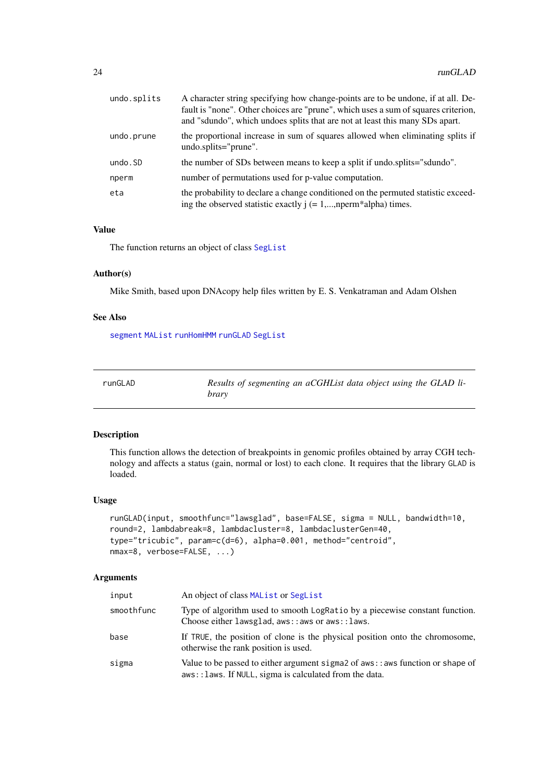<span id="page-23-0"></span>

| undo.splits | A character string specifying how change-points are to be undone, if at all. De-<br>fault is "none". Other choices are "prune", which uses a sum of squares criterion,<br>and "sdundo", which undoes splits that are not at least this many SDs apart. |
|-------------|--------------------------------------------------------------------------------------------------------------------------------------------------------------------------------------------------------------------------------------------------------|
| undo.prune  | the proportional increase in sum of squares allowed when eliminating splits if<br>undo.splits="prune".                                                                                                                                                 |
| undo.SD     | the number of SDs between means to keep a split if undo.splits="sdundo".                                                                                                                                                                               |
| nperm       | number of permutations used for p-value computation.                                                                                                                                                                                                   |
| eta         | the probability to declare a change conditioned on the permuted statistic exceed-<br>ing the observed statistic exactly $j (= 1,,nperm*alpha)$ times.                                                                                                  |

#### Value

The function returns an object of class [SegList](#page-0-0)

#### Author(s)

Mike Smith, based upon DNAcopy help files written by E. S. Venkatraman and Adam Olshen

#### See Also

[segment](#page-0-0) [MAList](#page-0-0) [runHomHMM](#page-24-1) [runGLAD](#page-23-1) [SegList](#page-0-0)

<span id="page-23-1"></span>

| runGLAD | Results of segmenting an aCGHList data object using the GLAD li- |
|---------|------------------------------------------------------------------|
|         | brary                                                            |

# Description

This function allows the detection of breakpoints in genomic profiles obtained by array CGH technology and affects a status (gain, normal or lost) to each clone. It requires that the library GLAD is loaded.

#### Usage

```
runGLAD(input, smoothfunc="lawsglad", base=FALSE, sigma = NULL, bandwidth=10,
round=2, lambdabreak=8, lambdacluster=8, lambdaclusterGen=40,
type="tricubic", param=c(d=6), alpha=0.001, method="centroid",
nmax=8, verbose=FALSE, ...)
```

| input      | An object of class MAL ist or Seglist                                                                                                       |
|------------|---------------------------------------------------------------------------------------------------------------------------------------------|
| smoothfunc | Type of algorithm used to smooth LogRatio by a piecewise constant function.<br>Choose either lawsglad, aws:: aws or aws:: laws.             |
| base       | If TRUE, the position of clone is the physical position onto the chromosome,<br>otherwise the rank position is used.                        |
| sigma      | Value to be passed to either argument sigmal of $aws$ : aws function or shape of<br>aws:: laws. If NULL, sigma is calculated from the data. |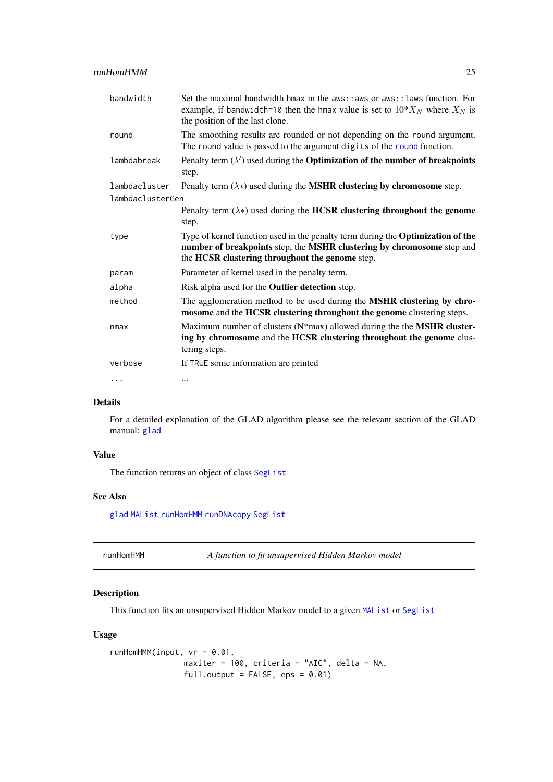<span id="page-24-0"></span>

| bandwidth        | Set the maximal bandwidth hmax in the aws::aws or aws:: laws function. For<br>example, if bandwidth=10 then the hmax value is set to $10^*X_N$ where $X_N$ is<br>the position of the last clone.             |  |
|------------------|--------------------------------------------------------------------------------------------------------------------------------------------------------------------------------------------------------------|--|
| round            | The smoothing results are rounded or not depending on the round argument.<br>The round value is passed to the argument digits of the round function.                                                         |  |
| lambdabreak      | Penalty term $(\lambda')$ used during the <b>Optimization of the number of breakpoints</b><br>step.                                                                                                          |  |
| lambdacluster    | Penalty term $(\lambda*)$ used during the <b>MSHR clustering by chromosome</b> step.                                                                                                                         |  |
| lambdaclusterGen |                                                                                                                                                                                                              |  |
|                  | Penalty term $(\lambda*)$ used during the HCSR clustering throughout the genome<br>step.                                                                                                                     |  |
| type             | Type of kernel function used in the penalty term during the Optimization of the<br>number of breakpoints step, the MSHR clustering by chromosome step and<br>the HCSR clustering throughout the genome step. |  |
| param            | Parameter of kernel used in the penalty term.                                                                                                                                                                |  |
| alpha            | Risk alpha used for the <b>Outlier detection</b> step.                                                                                                                                                       |  |
| method           | The agglomeration method to be used during the MSHR clustering by chro-<br>mosome and the HCSR clustering throughout the genome clustering steps.                                                            |  |
| nmax             | Maximum number of clusters $(N^*$ max) allowed during the the MSHR cluster-<br>ing by chromosome and the HCSR clustering throughout the genome clus-<br>tering steps.                                        |  |
| verbose          | If TRUE some information are printed                                                                                                                                                                         |  |
| .                |                                                                                                                                                                                                              |  |

# Details

For a detailed explanation of the GLAD algorithm please see the relevant section of the GLAD manual: [glad](#page-0-0)

# Value

The function returns an object of class [SegList](#page-0-0)

# See Also

[glad](#page-0-0) [MAList](#page-0-0) [runHomHMM](#page-24-1) [runDNAcopy](#page-22-1) [SegList](#page-0-0)

<span id="page-24-1"></span>runHomHMM *A function to fit unsupervised Hidden Markov model*

## Description

This function fits an unsupervised Hidden Markov model to a given [MAList](#page-0-0) or [SegList](#page-0-0)

```
runHomHMM(input, vr = 0.01,
               maxiter = 100, criteria = "AIC", delta = NA,
               full.output = FALSE, eps = 0.01)
```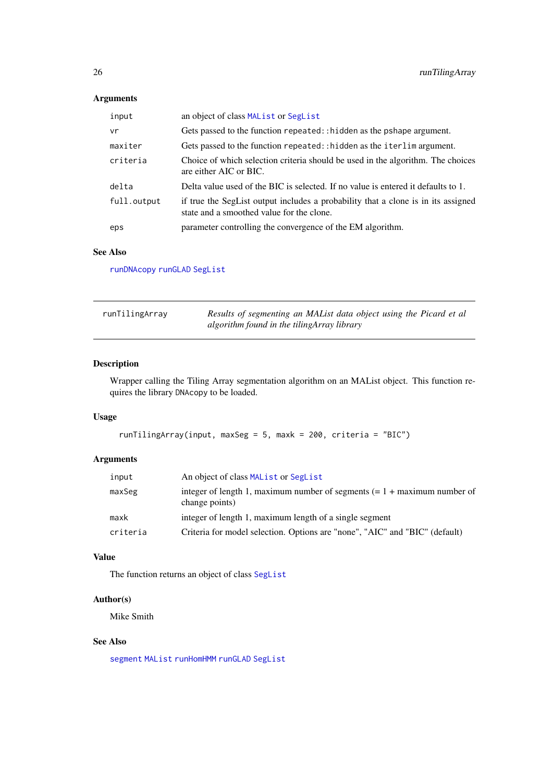## <span id="page-25-0"></span>Arguments

| input       | an object of class MAL ist or SegList                                                                                          |
|-------------|--------------------------------------------------------------------------------------------------------------------------------|
| vr          | Gets passed to the function repeated::hidden as the pshape argument.                                                           |
| maxiter     | Gets passed to the function repeated: : hidden as the iterlim argument.                                                        |
| criteria    | Choice of which selection criteria should be used in the algorithm. The choices<br>are either AIC or BIC.                      |
| delta       | Delta value used of the BIC is selected. If no value is entered it defaults to 1.                                              |
| full.output | if true the SegList output includes a probability that a clone is in its assigned<br>state and a smoothed value for the clone. |
| eps         | parameter controlling the convergence of the EM algorithm.                                                                     |

# See Also

[runDNAcopy](#page-22-1) [runGLAD](#page-23-1) [SegList](#page-0-0)

| runTilingArray | Results of segmenting an MAList data object using the Picard et al |
|----------------|--------------------------------------------------------------------|
|                | algorithm found in the tilingArray library                         |

# Description

Wrapper calling the Tiling Array segmentation algorithm on an MAList object. This function requires the library DNAcopy to be loaded.

## Usage

```
runTilingArray(input, maxSeg = 5, maxk = 200, criteria = "BIC")
```
## Arguments

| input    | An object of class MAL ist or Seglist                                                        |
|----------|----------------------------------------------------------------------------------------------|
| maxSeg   | integer of length 1, maximum number of segments $(= 1 +$ maximum number of<br>change points) |
| maxk     | integer of length 1, maximum length of a single segment                                      |
| criteria | Criteria for model selection. Options are "none", "AIC" and "BIC" (default)                  |

# Value

The function returns an object of class [SegList](#page-0-0)

#### Author(s)

Mike Smith

#### See Also

[segment](#page-0-0) [MAList](#page-0-0) [runHomHMM](#page-24-1) [runGLAD](#page-23-1) [SegList](#page-0-0)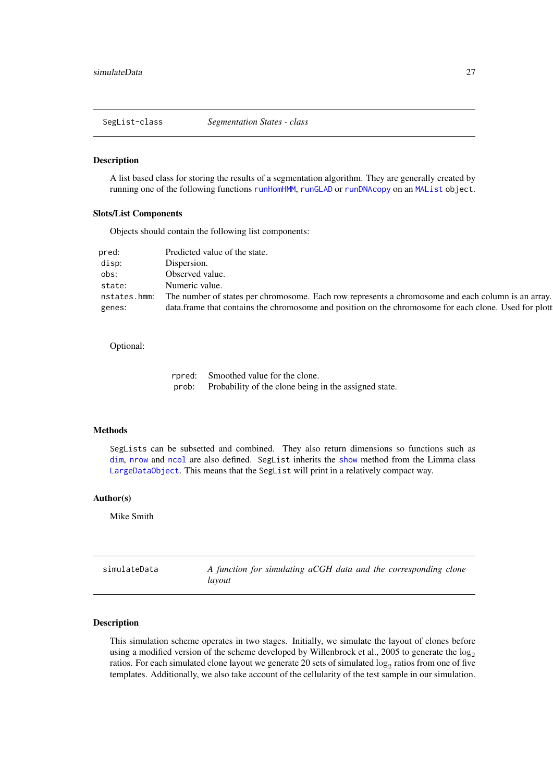<span id="page-26-0"></span>SegList-class *Segmentation States - class*

#### Description

A list based class for storing the results of a segmentation algorithm. They are generally created by running one of the following functions [runHomHMM](#page-24-1), [runGLAD](#page-23-1) or [runDNAcopy](#page-22-1) on an [MAList](#page-0-0) object.

#### Slots/List Components

Objects should contain the following list components:

| pred:        | Predicted value of the state.                                                                          |
|--------------|--------------------------------------------------------------------------------------------------------|
| disp:        | Dispersion.                                                                                            |
| obs:         | Observed value.                                                                                        |
| state:       | Numeric value.                                                                                         |
| nstates.hmm: | The number of states per chromosome. Each row represents a chromosome and each column is an array.     |
| genes:       | data. frame that contains the chromosome and position on the chromosome for each clone. Used for plott |

#### Optional:

|       | rpred: Smoothed value for the clone.                  |
|-------|-------------------------------------------------------|
| prob: | Probability of the clone being in the assigned state. |

#### Methods

SegLists can be subsetted and combined. They also return dimensions so functions such as [dim](#page-4-1), [nrow](#page-0-0) and [ncol](#page-0-0) are also defined. SegList inherits the [show](#page-0-0) method from the Limma class [LargeDataObject](#page-0-0). This means that the SegList will print in a relatively compact way.

#### Author(s)

Mike Smith

<span id="page-26-1"></span>

| simulateData | A function for simulating aCGH data and the corresponding clone |  |
|--------------|-----------------------------------------------------------------|--|
|              | lavout                                                          |  |

#### Description

This simulation scheme operates in two stages. Initially, we simulate the layout of clones before using a modified version of the scheme developed by Willenbrock et al., 2005 to generate the  $\log_2$ ratios. For each simulated clone layout we generate 20 sets of simulated  $\log_2$  ratios from one of five templates. Additionally, we also take account of the cellularity of the test sample in our simulation.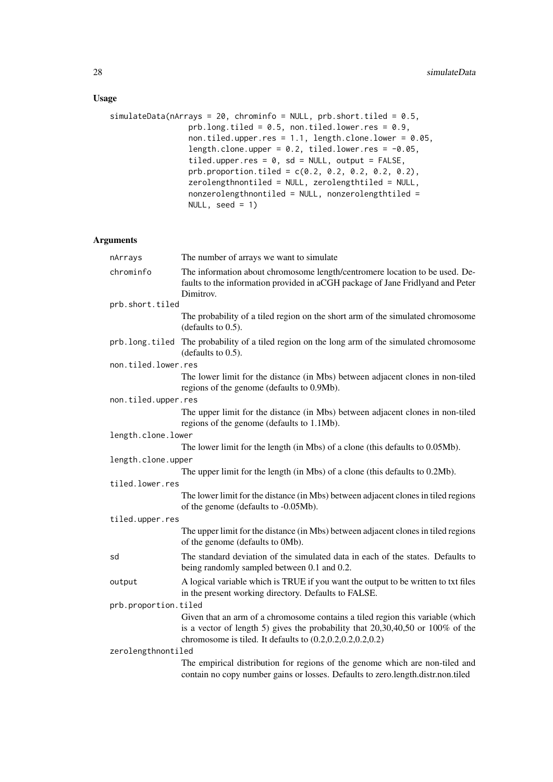# Usage

```
simulateData(nArrays = 20, chrominfo = NULL, prb.short.tiled = 0.5,
                 prb.long.tiled = 0.5, non.tiled.lower.res = 0.9,
                 non.tiled.upper.res = 1.1, length.clone.lower = 0.05,
                 length.clone.upper = 0.2, tiled.lower.res = -0.05,
                 tiled.upper.res = 0, sd = NULL, output = FALSE,
                 prb.proportion.tiled = c(0.2, 0.2, 0.2, 0.2, 0.2),
                 zerolengthnontiled = NULL, zerolengthtiled = NULL,
                 nonzerolengthnontiled = NULL, nonzerolengthtiled =
                 NULL, seed = 1)
```

| nArrays              | The number of arrays we want to simulate                                                                                                                                                                                                 |
|----------------------|------------------------------------------------------------------------------------------------------------------------------------------------------------------------------------------------------------------------------------------|
| chrominfo            | The information about chromosome length/centromere location to be used. De-<br>faults to the information provided in aCGH package of Jane Fridlyand and Peter<br>Dimitrov.                                                               |
| prb.short.tiled      |                                                                                                                                                                                                                                          |
|                      | The probability of a tiled region on the short arm of the simulated chromosome<br>(defaults to $0.5$ ).                                                                                                                                  |
| prb.long.tiled       | The probability of a tiled region on the long arm of the simulated chromosome<br>(defaults to $0.5$ ).                                                                                                                                   |
| non.tiled.lower.res  |                                                                                                                                                                                                                                          |
|                      | The lower limit for the distance (in Mbs) between adjacent clones in non-tiled<br>regions of the genome (defaults to 0.9Mb).                                                                                                             |
| non.tiled.upper.res  |                                                                                                                                                                                                                                          |
|                      | The upper limit for the distance (in Mbs) between adjacent clones in non-tiled<br>regions of the genome (defaults to 1.1Mb).                                                                                                             |
| length.clone.lower   |                                                                                                                                                                                                                                          |
|                      | The lower limit for the length (in Mbs) of a clone (this defaults to 0.05Mb).                                                                                                                                                            |
| length.clone.upper   |                                                                                                                                                                                                                                          |
|                      | The upper limit for the length (in Mbs) of a clone (this defaults to 0.2Mb).                                                                                                                                                             |
| tiled.lower.res      |                                                                                                                                                                                                                                          |
|                      | The lower limit for the distance (in Mbs) between adjacent clones in tiled regions<br>of the genome (defaults to -0.05Mb).                                                                                                               |
| tiled.upper.res      |                                                                                                                                                                                                                                          |
|                      | The upper limit for the distance (in Mbs) between adjacent clones in tiled regions<br>of the genome (defaults to 0Mb).                                                                                                                   |
| sd                   | The standard deviation of the simulated data in each of the states. Defaults to<br>being randomly sampled between 0.1 and 0.2.                                                                                                           |
| output               | A logical variable which is TRUE if you want the output to be written to txt files<br>in the present working directory. Defaults to FALSE.                                                                                               |
| prb.proportion.tiled |                                                                                                                                                                                                                                          |
|                      | Given that an arm of a chromosome contains a tiled region this variable (which<br>is a vector of length 5) gives the probability that $20,30,40,50$ or $100\%$ of the<br>chromosome is tiled. It defaults to $(0.2, 0.2, 0.2, 0.2, 0.2)$ |
| zerolengthnontiled   |                                                                                                                                                                                                                                          |
|                      | The empirical distribution for regions of the genome which are non-tiled and<br>contain no copy number gains or losses. Defaults to zero.length.distr.non.tiled                                                                          |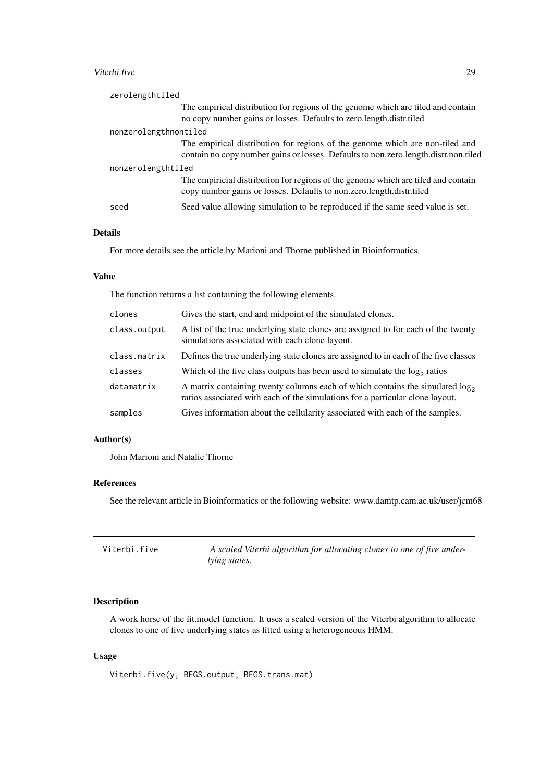#### <span id="page-28-0"></span>Viterbi.five 29

| zerolengthtiled       |                                                                                                                                                                     |
|-----------------------|---------------------------------------------------------------------------------------------------------------------------------------------------------------------|
|                       | The empirical distribution for regions of the genome which are tiled and contain<br>no copy number gains or losses. Defaults to zero.length.distr.tiled             |
| nonzerolengthnontiled |                                                                                                                                                                     |
|                       | The empirical distribution for regions of the genome which are non-tiled and<br>contain no copy number gains or losses. Defaults to non.zero.length.distr.non.tiled |
| nonzerolengthtiled    |                                                                                                                                                                     |
|                       | The empiricial distribution for regions of the genome which are tiled and contain<br>copy number gains or losses. Defaults to non.zero.length.distr.tiled           |
| seed                  | Seed value allowing simulation to be reproduced if the same seed value is set.                                                                                      |

# Details

For more details see the article by Marioni and Thorne published in Bioinformatics.

## Value

The function returns a list containing the following elements.

| clones       | Gives the start, end and midpoint of the simulated clones.                                                                                                        |
|--------------|-------------------------------------------------------------------------------------------------------------------------------------------------------------------|
| class.output | A list of the true underlying state clones are assigned to for each of the twenty<br>simulations associated with each clone layout.                               |
| class.matrix | Defines the true underlying state clones are assigned to in each of the five classes                                                                              |
| classes      | Which of the five class outputs has been used to simulate the $log_2$ ratios                                                                                      |
| datamatrix   | A matrix containing twenty columns each of which contains the simulated $\log_2$<br>ratios associated with each of the simulations for a particular clone layout. |
| samples      | Gives information about the cellularity associated with each of the samples.                                                                                      |

# Author(s)

John Marioni and Natalie Thorne

# References

See the relevant article in Bioinformatics or the following website: www.damtp.cam.ac.uk/user/jcm68

| Viterbi.five | A scaled Viterbi algorithm for allocating clones to one of five under- |
|--------------|------------------------------------------------------------------------|
|              | <i>lying states.</i>                                                   |

# Description

A work horse of the fit.model function. It uses a scaled version of the Viterbi algorithm to allocate clones to one of five underlying states as fitted using a heterogeneous HMM.

# Usage

Viterbi.five(y, BFGS.output, BFGS.trans.mat)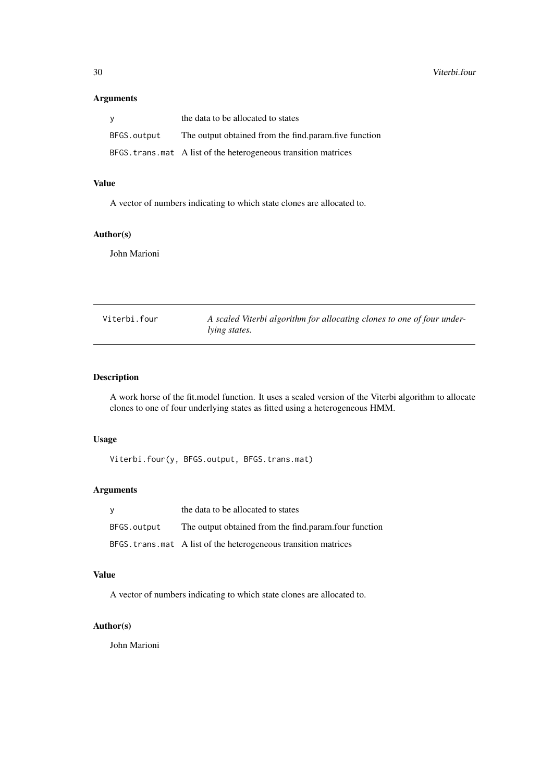## <span id="page-29-0"></span>Arguments

| V           | the data to be allocated to states                               |
|-------------|------------------------------------------------------------------|
| BFGS.output | The output obtained from the find.param.five function            |
|             | BFGS. trans. mat A list of the heterogeneous transition matrices |

# Value

A vector of numbers indicating to which state clones are allocated to.

#### Author(s)

John Marioni

Viterbi.four *A scaled Viterbi algorithm for allocating clones to one of four underlying states.*

## Description

A work horse of the fit.model function. It uses a scaled version of the Viterbi algorithm to allocate clones to one of four underlying states as fitted using a heterogeneous HMM.

## Usage

Viterbi.four(y, BFGS.output, BFGS.trans.mat)

## Arguments

| y           | the data to be allocated to states                               |
|-------------|------------------------------------------------------------------|
| BFGS.output | The output obtained from the find param four function            |
|             | BFGS. trans. mat A list of the heterogeneous transition matrices |

# Value

A vector of numbers indicating to which state clones are allocated to.

# Author(s)

John Marioni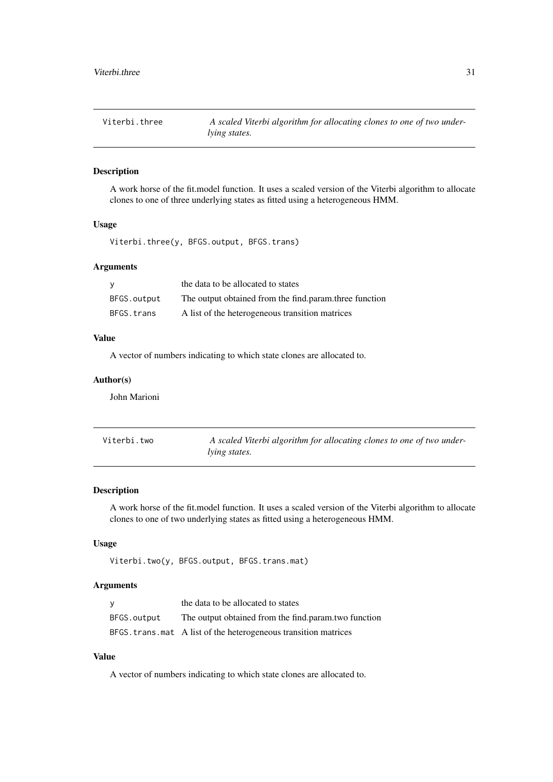<span id="page-30-0"></span>

| Viterbi.three | A scaled Viterbi algorithm for allocating clones to one of two under- |
|---------------|-----------------------------------------------------------------------|
|               | <i>lying states.</i>                                                  |

### Description

A work horse of the fit.model function. It uses a scaled version of the Viterbi algorithm to allocate clones to one of three underlying states as fitted using a heterogeneous HMM.

## Usage

```
Viterbi.three(y, BFGS.output, BFGS.trans)
```
## Arguments

| y           | the data to be allocated to states                     |
|-------------|--------------------------------------------------------|
| BFGS.output | The output obtained from the find.param.three function |
| BFGS.trans  | A list of the heterogeneous transition matrices        |

#### Value

A vector of numbers indicating to which state clones are allocated to.

### Author(s)

John Marioni

| Viterbi.two | A scaled Viterbi algorithm for allocating clones to one of two under- |
|-------------|-----------------------------------------------------------------------|
|             | <i>lying states.</i>                                                  |

## Description

A work horse of the fit.model function. It uses a scaled version of the Viterbi algorithm to allocate clones to one of two underlying states as fitted using a heterogeneous HMM.

# Usage

```
Viterbi.two(y, BFGS.output, BFGS.trans.mat)
```
### Arguments

| y           | the data to be allocated to states                               |
|-------------|------------------------------------------------------------------|
| BFGS.output | The output obtained from the find.param.two function             |
|             | BFGS. trans. mat A list of the heterogeneous transition matrices |

# Value

A vector of numbers indicating to which state clones are allocated to.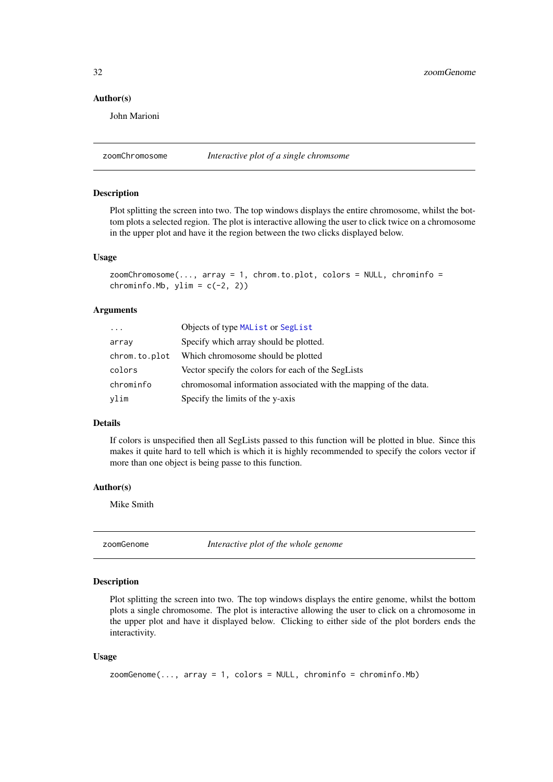#### <span id="page-31-0"></span>Author(s)

John Marioni

zoomChromosome *Interactive plot of a single chromsome*

# Description

Plot splitting the screen into two. The top windows displays the entire chromosome, whilst the bottom plots a selected region. The plot is interactive allowing the user to click twice on a chromosome in the upper plot and have it the region between the two clicks displayed below.

#### Usage

```
zoomChromosome(..., array = 1, chrom.to.plot, colors = NULL, chrominfo =
chrominfo.Mb, ylim = c(-2, 2)
```
## Arguments

| $\ddots$      | Objects of type MAList or SegList                                |
|---------------|------------------------------------------------------------------|
| array         | Specify which array should be plotted.                           |
| chrom.to.plot | Which chromosome should be plotted                               |
| colors        | Vector specify the colors for each of the SegLists               |
| chrominfo     | chromosomal information associated with the mapping of the data. |
| ylim          | Specify the limits of the y-axis                                 |

# Details

If colors is unspecified then all SegLists passed to this function will be plotted in blue. Since this makes it quite hard to tell which is which it is highly recommended to specify the colors vector if more than one object is being passe to this function.

#### Author(s)

Mike Smith

zoomGenome *Interactive plot of the whole genome*

#### Description

Plot splitting the screen into two. The top windows displays the entire genome, whilst the bottom plots a single chromosome. The plot is interactive allowing the user to click on a chromosome in the upper plot and have it displayed below. Clicking to either side of the plot borders ends the interactivity.

```
zoomGenome(..., array = 1, colors = NULL, chrominfo = chrominfo.Mb)
```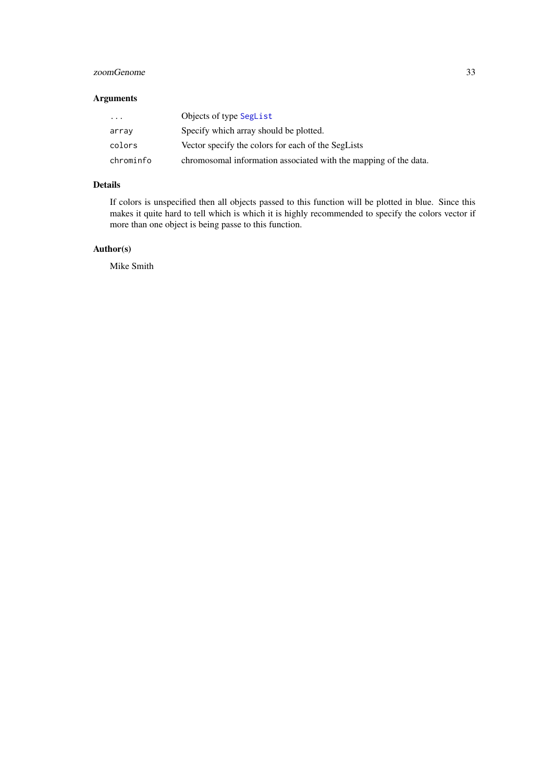#### <span id="page-32-0"></span>zoomGenome 33

# Arguments

| $\cdots$  | Objects of type SegList                                          |
|-----------|------------------------------------------------------------------|
| array     | Specify which array should be plotted.                           |
| colors    | Vector specify the colors for each of the SegLists               |
| chrominfo | chromosomal information associated with the mapping of the data. |

# Details

If colors is unspecified then all objects passed to this function will be plotted in blue. Since this makes it quite hard to tell which is which it is highly recommended to specify the colors vector if more than one object is being passe to this function.

# Author(s)

Mike Smith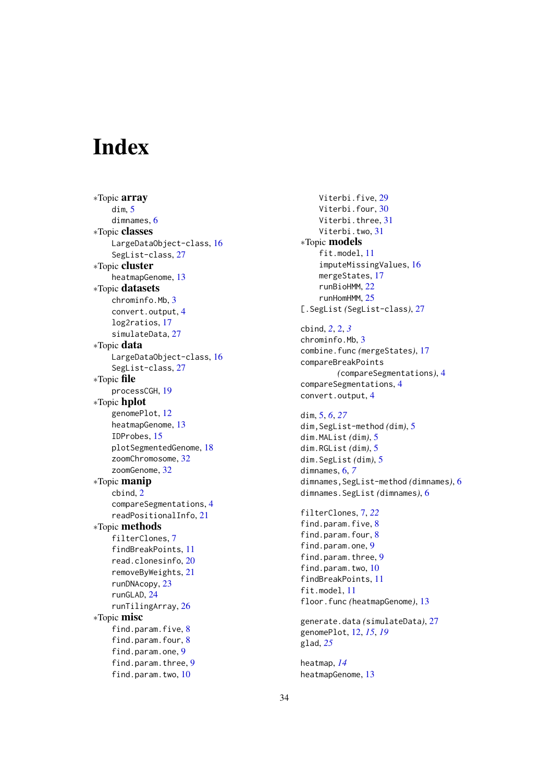# <span id="page-33-0"></span>Index

∗Topic array dim , [5](#page-4-0) dimnames , [6](#page-5-0) ∗Topic classes LargeDataObject-class , [16](#page-15-0) SegList-class , [27](#page-26-0) ∗Topic cluster heatmapGenome , [13](#page-12-0) ∗Topic datasets chrominfo.Mb , [3](#page-2-0) convert.output , [4](#page-3-0) log2ratios , [17](#page-16-0) simulateData , [27](#page-26-0) ∗Topic data LargeDataObject-class, [16](#page-15-0) SegList-class, [27](#page-26-0) ∗Topic file processCGH , [19](#page-18-0) ∗Topic hplot genomePlot , [12](#page-11-0) heatmapGenome , [13](#page-12-0) IDProbes , [15](#page-14-0) plotSegmentedGenome , [18](#page-17-0) zoomChromosome , [32](#page-31-0) zoomGenome , [32](#page-31-0) ∗Topic manip cbind , [2](#page-1-0) compareSegmentations , [4](#page-3-0) readPositionalInfo , [21](#page-20-0) ∗Topic methods filterClones , [7](#page-6-0) findBreakPoints , [11](#page-10-0) read.clonesinfo , [20](#page-19-0) removeByWeights , [21](#page-20-0) runDNAcopy , [23](#page-22-0) runGLAD , [24](#page-23-0) runTilingArray , [26](#page-25-0) ∗Topic misc find.param.five, [8](#page-7-0) find.param.four, [8](#page-7-0) find.param.one , [9](#page-8-0) find.param.three, [9](#page-8-0) find.param.two, [10](#page-9-0)

Viterbi.five, [29](#page-28-0) Viterbi.four, [30](#page-29-0) Viterbi.three, [31](#page-30-0) Viterbi.two, [31](#page-30-0) ∗Topic models fit.model , [11](#page-10-0) imputeMissingValues , [16](#page-15-0) mergeStates , [17](#page-16-0) runBioHMM , [22](#page-21-0) runHomHMM , [25](#page-24-0) [.SegList *(*SegList-class *)* , [27](#page-26-0) cbind , *[2](#page-1-0)* , [2](#page-1-0) , *[3](#page-2-0)* chrominfo.Mb , [3](#page-2-0) combine.func *(*mergeStates *)* , [17](#page-16-0) compareBreakPoints *(*compareSegmentations *)* , [4](#page-3-0) compareSegmentations , [4](#page-3-0) convert.output , [4](#page-3-0) dim , [5](#page-4-0) , *[6](#page-5-0)* , *[27](#page-26-0)* dim,SegList-method *(*dim *)* , [5](#page-4-0)

dim.MAList *(*dim *)* , [5](#page-4-0) dim.RGList *(*dim *)* , [5](#page-4-0) dim.SegList *(*dim *)* , [5](#page-4-0) dimnames , [6](#page-5-0) , *[7](#page-6-0)* dimnames,SegList-method *(*dimnames *)* , [6](#page-5-0) dimnames.SegList *(*dimnames *)* , [6](#page-5-0)

```
filterClones
,
7
, 22
8
8
find.param.one
,
9
9
10
findBreakPoints
, 11
fit.model
, 11
floor.func
(heatmapGenome
)
, 13
```

```
generate.data
(simulateData
)
, 27
genomePlot
, 12
, 15
, 19
glad
, 25
```
heatmap , *[14](#page-13-0)* heatmapGenome , [13](#page-12-0)